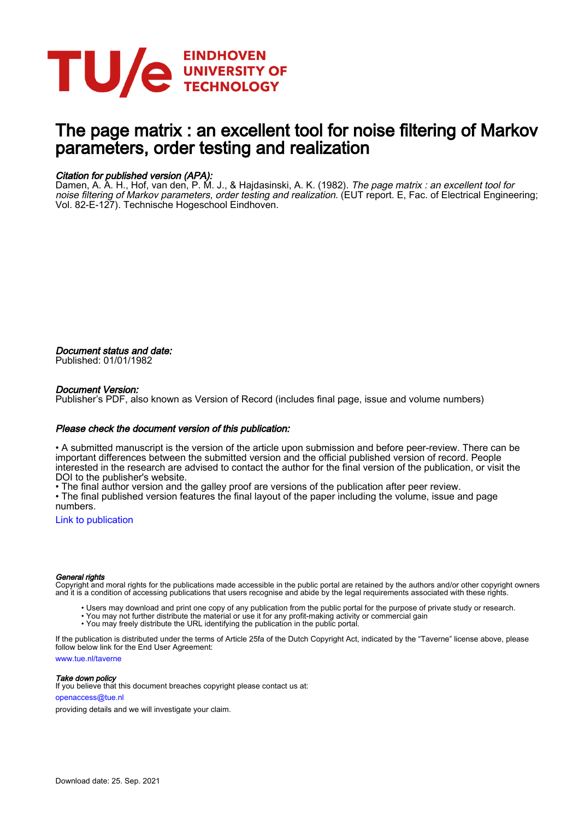

# The page matrix : an excellent tool for noise filtering of Markov parameters, order testing and realization

#### Citation for published version (APA):

Damen, A. A. H., Hof, van den, P. M. J., & Hajdasinski, A. K. (1982). *The page matrix : an excellent tool for* noise filtering of Markov parameters, order testing and realization. (EUT report. E, Fac. of Electrical Engineering; Vol. 82-E-127). Technische Hogeschool Eindhoven.

Document status and date: Published: 01/01/1982

#### Document Version:

Publisher's PDF, also known as Version of Record (includes final page, issue and volume numbers)

#### Please check the document version of this publication:

• A submitted manuscript is the version of the article upon submission and before peer-review. There can be important differences between the submitted version and the official published version of record. People interested in the research are advised to contact the author for the final version of the publication, or visit the DOI to the publisher's website.

• The final author version and the galley proof are versions of the publication after peer review.

• The final published version features the final layout of the paper including the volume, issue and page numbers.

[Link to publication](https://research.tue.nl/en/publications/d2a73baf-5a84-41d7-b854-b0770311b589)

#### General rights

Copyright and moral rights for the publications made accessible in the public portal are retained by the authors and/or other copyright owners and it is a condition of accessing publications that users recognise and abide by the legal requirements associated with these rights.

- Users may download and print one copy of any publication from the public portal for the purpose of private study or research.
- You may not further distribute the material or use it for any profit-making activity or commercial gain
- You may freely distribute the URL identifying the publication in the public portal.

If the publication is distributed under the terms of Article 25fa of the Dutch Copyright Act, indicated by the "Taverne" license above, please follow below link for the End User Agreement:

www.tue.nl/taverne

**Take down policy**<br>If you believe that this document breaches copyright please contact us at:

openaccess@tue.nl

providing details and we will investigate your claim.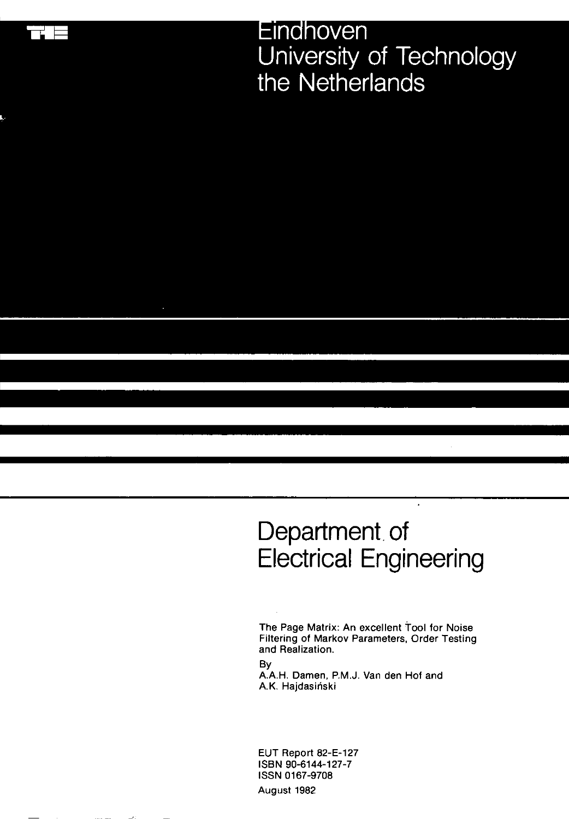Eindhoven University of Technology the Netherlands

# Department of **Electrical Engineering**

 $\cdot$ 

The Page Matrix: An excellent Tool for Noise Filtering of Markov Parameters, Order Testing and Realization.

By

: م

A.A.H. Damen, P.M.J. Van den Hof and A.K. Hajdasiński

EUT Report 82-E-127 ISBN 90-6144-127-7 ISSN 0167-9708 August 1982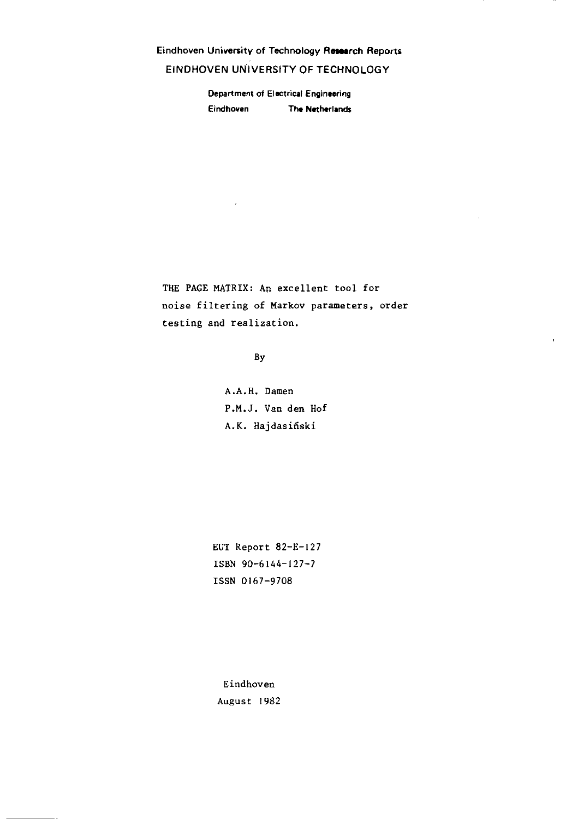Eindhoven University of Technology Research Reports EINDHOVEN UNIVERSITY OF TECHNOLOGY

> **Department of Electrical Engineering Eindhoven The Netherlands**

THE PAGE MATRIX: An excellent tool for **noise filtering of Markov parameters, order testing and realization.** 

 $\mathbf{r}$ 

By

 $\bar{\nu}$ 

A.A.H. Damen P.M.J. Van den Hof A.K. Hajdasifiski

EUT Report 82-E-127 ISBN 90-6144-127-7 ISSN 0167-9708

**Eindhoven**  August 1982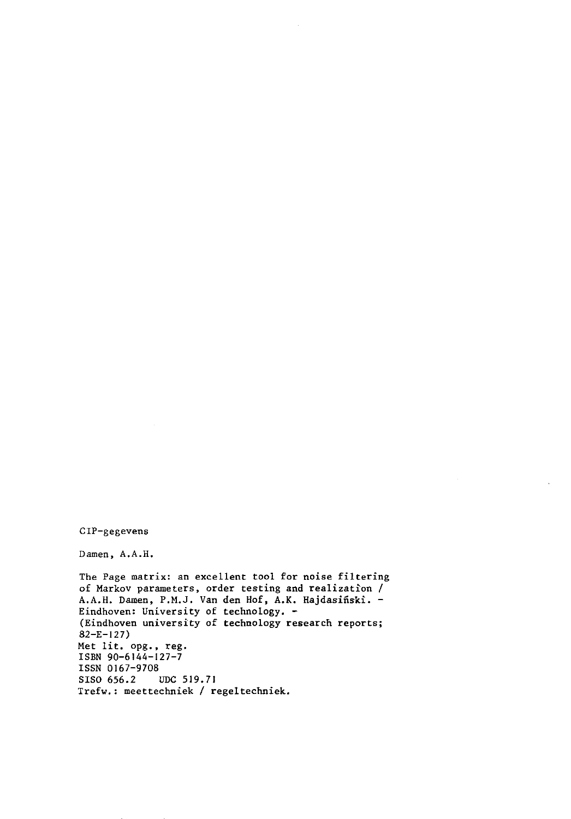CIP-gegevens

Damen, A.A.H.

**The Page matrix: an excellent tool for noise filtering of Markov parameters, order testing and realization /**  A.A.H. Damen, P.M.J. Van den Hof, A.K. Hajdasiñski. -Eindhoven: University of technology. - (Eindhoven university of technology research reports; 82-E-127) Met lit. opg., reg. ISBN 90-6144-127-7 ISSN 0167-9708<br>SISO 656.2 UDC 519.71 Trefw.: meettechniek / regeltechniek.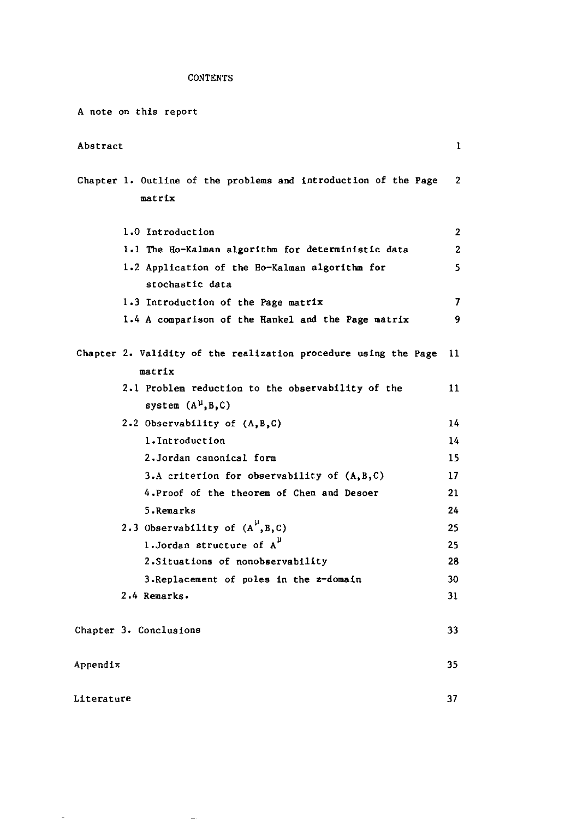## **CONTENTS**

| A note on this report                                                       |    |  |  |  |  |  |  |  |  |
|-----------------------------------------------------------------------------|----|--|--|--|--|--|--|--|--|
| Abstract                                                                    | 1  |  |  |  |  |  |  |  |  |
| Chapter 1. Outline of the problems and introduction of the Page<br>matrix   | 2  |  |  |  |  |  |  |  |  |
| 1.0 Introduction                                                            | 2  |  |  |  |  |  |  |  |  |
| 1.1 The Ho-Kalman algorithm for deterministic data                          |    |  |  |  |  |  |  |  |  |
| 1.2 Application of the Ho-Kalman algorithm for<br>stochastic data           | 5  |  |  |  |  |  |  |  |  |
| 1.3 Introduction of the Page matrix                                         | 7  |  |  |  |  |  |  |  |  |
| 1.4 A comparison of the Hankel and the Page matrix                          | 9  |  |  |  |  |  |  |  |  |
| Chapter 2. Validity of the realization procedure using the Page<br>matrix   | 11 |  |  |  |  |  |  |  |  |
| 2.1 Problem reduction to the observability of the<br>system $(A^{\mu},B,C)$ | 11 |  |  |  |  |  |  |  |  |
| 2.2 Observability of (A, B, C)                                              | 14 |  |  |  |  |  |  |  |  |
| 1. Introduction                                                             | 14 |  |  |  |  |  |  |  |  |
| 2.Jordan canonical form                                                     | 15 |  |  |  |  |  |  |  |  |
| 3.A criterion for observability of $(A, B, C)$                              | 17 |  |  |  |  |  |  |  |  |
| 4. Proof of the theorem of Chen and Desoer                                  | 21 |  |  |  |  |  |  |  |  |
| 5.Remarks                                                                   | 24 |  |  |  |  |  |  |  |  |
| 2.3 Observability of $(A^{\mu},B,C)$                                        | 25 |  |  |  |  |  |  |  |  |
| 1.Jordan structure of $A^{\mu}$                                             | 25 |  |  |  |  |  |  |  |  |
| 2. Situations of nonobservability                                           | 28 |  |  |  |  |  |  |  |  |
| 3. Replacement of poles in the z-domain                                     | 30 |  |  |  |  |  |  |  |  |
| 2.4 Remarks.                                                                | 31 |  |  |  |  |  |  |  |  |
| Chapter 3. Conclusions                                                      | 33 |  |  |  |  |  |  |  |  |
| Appendix                                                                    | 35 |  |  |  |  |  |  |  |  |
| Literature                                                                  | 37 |  |  |  |  |  |  |  |  |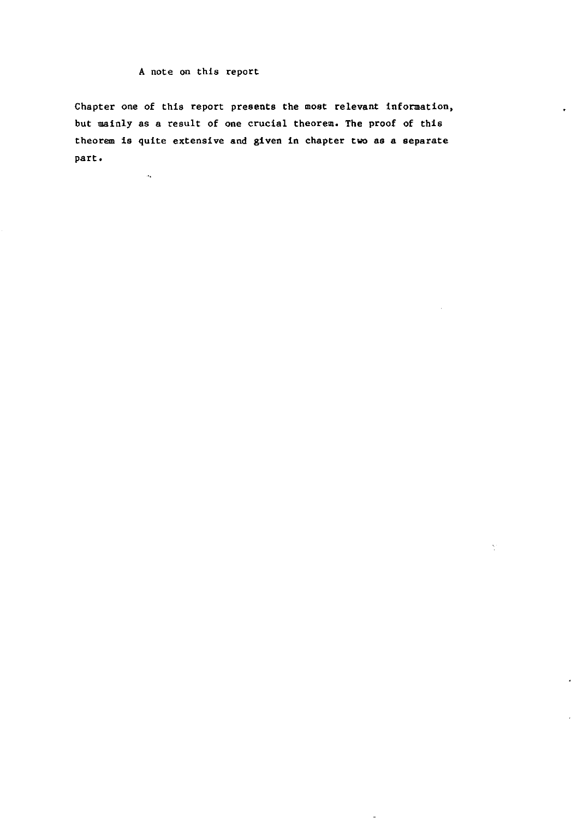#### A note on this report

 $\mathcal{A}_\mathbf{t}$ 

Chapter one of this report presents the most relevant information, but mainly as a result of one crucial theorem. The proof of this theorem is quite extensive and given in chapter two as a separate part.

 $\hat{\gamma}$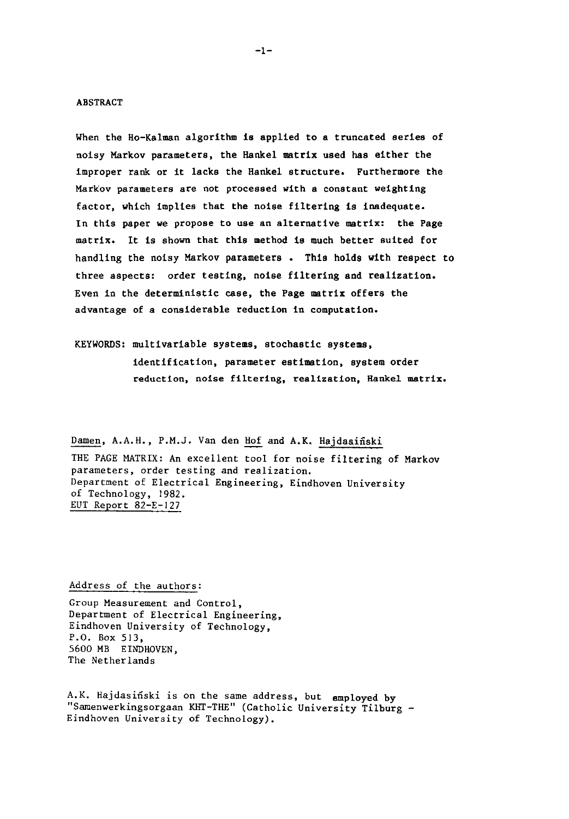#### ABSTRACT

When the Ho-Kalman algorithm is applied to a truncated series of noisy Markov parameters, the Hankel matrix used has either the improper rank or it lacks the Hankel structure. Furthermore the **Markov parameters are not processed with a constant weighting**  factor, which implies that the noise filtering is inadequate. In this paper we propose to use an alternative matrix: the Page matrix. It is shown that this method is much better suited for handling the noisy Markov parameters . This holds with respect to three aspects: order testing, noise filtering and realization. Even in the deterministic case, the Page matrix offers the advantage of a considerable reduction in computation.

KEYWORDS: multivariable systems, stochastic systems, identification, parameter estimation, system order **reduction, noise filtering, realization, Hankel matrix.** 

Damen, A.A.H., P.M.J. Van den Hof and A.K. Hajdasiñski THE PAGE MATRIX: An excellent tool for noise filtering of Markov **parameters, order testing and realization.**  Department of Electrical Engineering, Eindhoven University of Technology, 1982. EUT Report 82-E-127

#### Address of the authors:

**Group Measurement and Control, Department of Electrical Engineering,**  Eindhoven University of Technology, P.O. Box 513, 5600 MB EINDHOVEN, The Netherlands

A.K. Hajdasifiski is on the same address, but employed by "Samenwerkingsorgaan KHT-THE" (Catholic University Tilburg - Eindhoven University of Technology).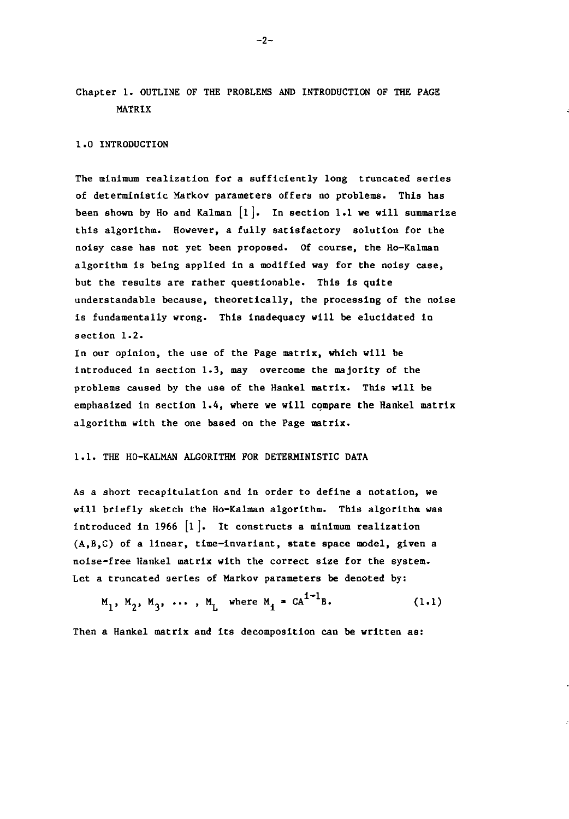Chapter 1. OUTLINE OF THE PROBLEMS AND INTRODUCTION OF THE PAGE MATRIX

#### 1.0 INTRODUCTION

The minimum realization for a sufficiently long truncated series of deterministic Markov parameters offers no problems. This has been shown by Ho and Kalman  $[1]$ . In section 1.1 we will summarize this algorithm. However, a fully satisfactory solution for the noisy case has not yet been proposed. Of course, the Ho-Kalman algorithm is being applied in a modified way for the noisy case, but the results are rather questionable. This is quite understandable because, theoretically, the processing of the noise is fundamentally wrong. This inadequacy will be elucidated in section 1.2.

In our opinion, the use of the Page matrix, which will be introduced in section 1.3, may overcome the majority of the problems caused by the use of the Hankel matrix. This will be emphasized in section  $1.4$ , where we will compare the Hankel matrix algorithm with the one based on the Page matrix.

#### 1.1. THE HO-KALMAN ALGORITHM FOR DETERMINISTIC DATA

As a short recapitulation and in order to define a notation, we will briefly sketch the Ho-Kalman algorithm. This algorithm was introduced in 1966  $\lceil 1 \rceil$ . It constructs a minimum realization (A,B,C) of a linear, time-invariant, state space model, given a noise-free Hankel matrix with the correct size for the system. Let a truncated series of Markov parameters be denoted by:

$$
M_1, M_2, M_3, \ldots, M_L
$$
 where  $M_i = CA^{1-1}B$ . (1.1)

Then a Hankel matrix and its decomposition can be written as: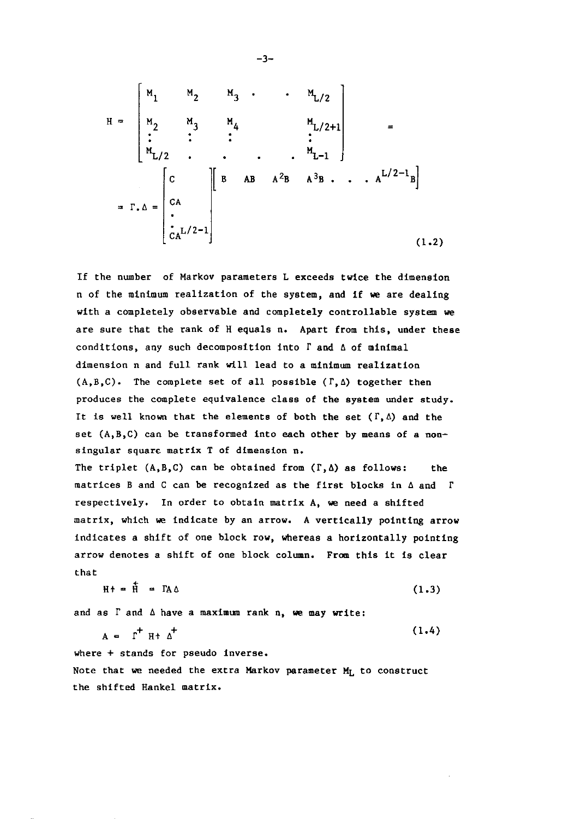$$
H = \begin{bmatrix} M_{1} & M_{2} & M_{3} & \cdots & M_{L/2} \\ M_{2} & M_{3} & M_{4} & & M_{L/2+1} \\ \vdots & \vdots & \vdots & & \vdots \\ M_{L/2} & \cdots & \cdots & M_{L-1} \end{bmatrix} = \begin{bmatrix} C \\ C \\ C A \\ \vdots \\ C A^{L/2-1} \end{bmatrix}
$$
 (1.2)

If the number of Markov parameters L exceeds twice the dimension n of the minimum realization of the system, and if we are dealing with a completely observable and completely controllable system we are sure that the rank of H equals n. Apart from this, under these conditions, any such decomposition into  $\Gamma$  and  $\Delta$  of minimal dimension n and full rank will lead to a minimum realization  $(A, B, C)$ . The complete set of all possible  $(\Gamma, \Delta)$  together then produces the complete equivalence class of the system under study. It is well known that the elements of both the set  $(\Gamma, \Delta)$  and the set  $(A, B, C)$  can be transformed into each other by means of a nonsingular square matrix T of dimension n. The triplet  $(A, B, C)$  can be obtained from  $(\Gamma, \Delta)$  as follows: the matrices B and C can be recognized as the first blocks in  $\triangle$  and  $\Gamma$ respectively. In order to obtain matrix A, we need a shifted matrix, which we indicate by an arrow. A vertically pointing arrow

indicates a shift of one block row, whereas a horizontally pointing arrow denotes a shift of one block column. From this it is clear that

$$
H + = \dot{H} = \Gamma A \Delta \tag{1.3}
$$

and as  $\Gamma$  and  $\Delta$  have a maximum rank n, we may write:

$$
A = \Gamma^{\dagger} H^{\dagger} \Delta^{\dagger} \tag{1.4}
$$

where + stands for pseudo inverse.

Note that we needed the extra Markov parameter  $M_L$  to construct the shifted Hankel matrix.

$$
-3-
$$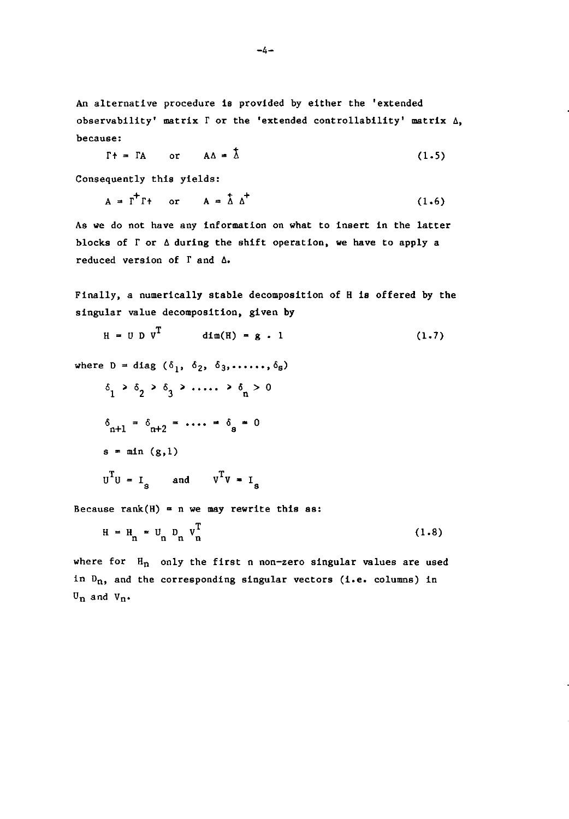An alternative procedure is provided by either the 'extended observability' matrix  $\Gamma$  or the 'extended controllability' matrix  $\Delta$ , **because:** 

$$
\Gamma f = \Gamma A \qquad \text{or} \qquad A\Delta = \lambda \tag{1.5}
$$

Consequently this yields:

$$
A = \Gamma^{\dagger} \Gamma^{\dagger} \quad \text{or} \quad A = \hat{\Delta} \Delta^{\dagger} \tag{1.6}
$$

As we do not have any information on what to insert in the latter blocks of  $\Gamma$  or  $\Delta$  during the shift operation, we have to apply a reduced version of  $\Gamma$  and  $\Delta$ .

Finally, a numerically stable decomposition of R is offered by the singular value decomposition, given by

$$
H = U D VT \text{dim}(H) = g \cdot 1 \qquad (1.7)
$$
  
where  $D = \text{diag}(\delta_1, \delta_2, \delta_3, \dots, \delta_s)$   

$$
\delta_1 > \delta_2 > \delta_3 > \dots > \delta_n > 0
$$
  

$$
\delta_{n+1} = \delta_{n+2} = \dots = \delta_g = 0
$$
  

$$
s = \min(g, 1)
$$
  

$$
UTU = Is \text{ and } VTV = Is
$$

Because rank(H) = n we may rewrite this as:

$$
H = H_n = U_n D_n V_n^T
$$
 (1.8)

where for  $H_n$  only the first n non-zero singular values are used in  $D_n$ , and the corresponding singular vectors (i.e. columns) in  $U_n$  and  $V_n$ .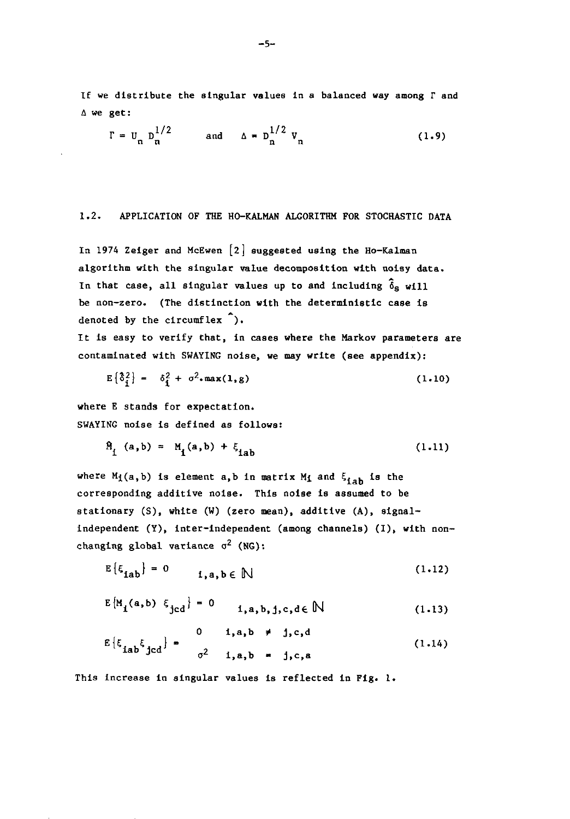If we distribute the singular values in a balanced way among  $\Gamma$  and  $\Delta$  we get:

$$
\Gamma = U_n D_n^{1/2} \qquad \text{and} \qquad \Delta = D_n^{1/2} V_n \qquad (1.9)
$$

#### 1.2. APPLICATION OF THE HO-KALMAN ALGORITHM FOR STOCHASTIC DATA

In 1974 Zeiger and McEwen [2] suggested using the Ho-Kalman algorithm with the singular value decomposition with noisy data. In that case, all singular values up to and including  $\delta_{\rm s}$  will be non-zero. (The distinction with the deterministic case is denoted by the circumflex  $\hat{ }$ ).

It is easy to verify that, in cases where the Markov parameters are contaminated with SWAYING noise, we may write (see appendix):

$$
E\left\{\delta_{\hat{1}}^2\right\} = \delta_{\hat{1}}^2 + \sigma^2 \cdot \max(1, g) \tag{1.10}
$$

where E stands for expectation. SWAYING noise is defined as follows:

$$
\hat{M}_1 (a, b) = M_1 (a, b) + \xi_{1ab}
$$
 (1.11)

where  $M_1(a, b)$  is element a,b in matrix  $M_1$  and  $\xi_{1ab}$  is the corresponding additive noise. This noise is assumed to be stationary (S), white (W) (zero mean), additive (A), signalindependent (Y), inter-independent (among channels) (I), with nonchanging global variance  $\sigma^2$  (NG):

$$
E\left\{\xi_{\mathtt{lab}}\right\} = 0 \qquad i, a, b \in \mathbb{N} \tag{1.12}
$$

$$
E\left\{M_{i}(a,b) \ \xi_{jcd}\right\} = 0 \qquad i, a, b, j, c, d \in \mathbb{N} \tag{1.13}
$$

$$
E\left\{\xi_{\mathbf{i}ab}\xi_{\mathbf{j}cd}\right\} = \begin{matrix} 0 & \mathbf{i}, \mathbf{a}, \mathbf{b} \neq \mathbf{j}, \mathbf{c}, \mathbf{d} \\ \mathbf{a} \mathbf{b} \xi_{\mathbf{j}cd} & \mathbf{c} \xi_{\mathbf{i}a} & \mathbf{c} \xi_{\mathbf{i}a} & \mathbf{c} \xi_{\mathbf{i}a} \end{matrix} \tag{1.14}
$$

This increase in singular **values** is reflected in Fig. 1.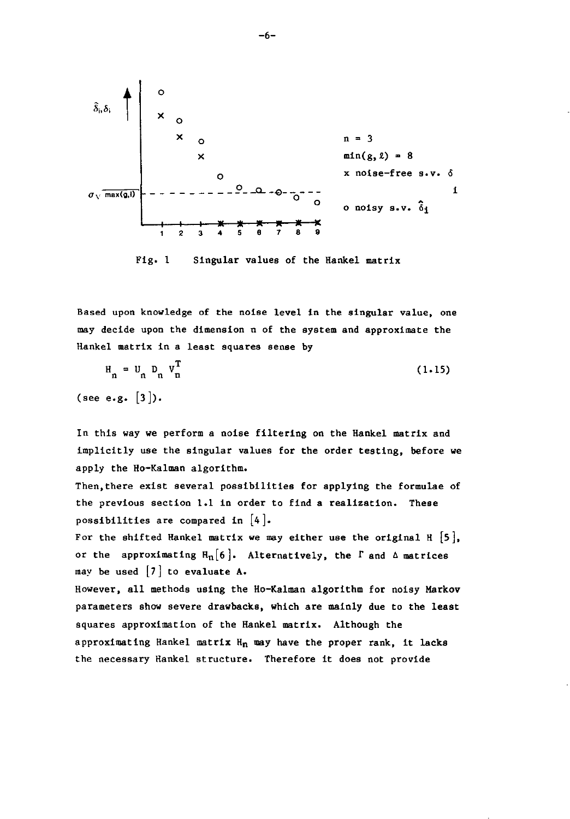

Fig. 1 Singular values of the Hankel matrix

Based upon knowledge of the noise level in the singular value, one may decide upon the dimension n of the system and approximate the Hankel matrix in a least squares sense by

$$
H_n = U_n D_n V_n^T
$$
\n(1.15)  
\n(see e.g. [3]).

In this way we perform a noise filtering on the Hankel matrix and implicitly use the singular values for the order testing, before we apply the Ho-Kalman algorithm.

Then,there exist several possibilities for applying the formulae of the previous section 1.1 in order to find a realization. These possibilities are compared in  $[4]$ .

For the shifted Hankel matrix we may either use the original H  $[5]$ , or the approximating  $H_n[6]$ . Alternatively, the  $\Gamma$  and  $\Delta$  matrices may be used  $\begin{bmatrix} 7 \end{bmatrix}$  to evaluate A.

However, all methods using the Ho-Kalman algorithm for noisy Markov parameters show severe drawbacks, which are mainly due to the least squares approximation of the Hankel matrix. Although the approximating Hankel matrix  $H_n$  may have the proper rank, it lacks the necessary Hankel structure. Therefore it does not provide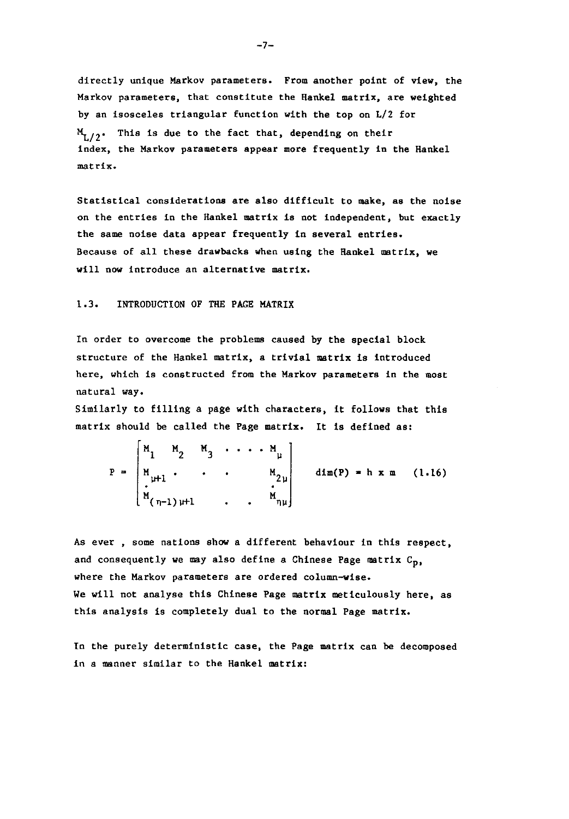directly unique Markov parameters. From another point of view, the Markov parameters, that constitute the Hankel matrix, are weighted by an isosceles triangular function with the top on *L/2* for  $M_{1/2}$ . This is due to the fact that, depending on their index, the Markov parameters appear more frequently in the Hankel **matrix.** 

Statistical considerations are also difficult to make, as the noise on the entries in the Hankel matrix is not independent, but exactly the same noise data appear frequently in several entries. Because of all these drawbacks when using the Hankel matrix, we will now introduce an alternative matrix.

#### 1.3. INTRODUCTION OF THE PAGE MATRIX

In order to overcome the problems caused by the special block structure of the Hankel matrix, a trivial matrix is introduced **here, which is constructed from the Markov parameters in the most**  natural way.

Similarly to filling a page with characters, it follows that this matrix should be called the Page matrix. It is defined as:

 $M_1$   $M_2$   $M_3$   $\cdots$   $M_\mu$  $P = |M_{\mu+1} \cdot \cdot \cdot \cdot M_{2\mu}|$  dim(P) = h x m (1.16)  $\cdot$ <sup>.</sup>  $M_{(\eta-1)\,\mu+1}$  .  $M_{\eta\mu}$ 

As ever, some nations show a different behaviour in this respect, and consequently we may also define a Chinese Page matrix  $C_{\mathbf{p}_2}$ **where the Markov parameters are ordered column-wlse.**  We will not analyse this Chinese Page matrix meticulously here, as this analysis is completely dual to the normal Page matrix.

In the purely deterministic case, the Page matrix can be decomposed in a manner similar to the Hankel matrix: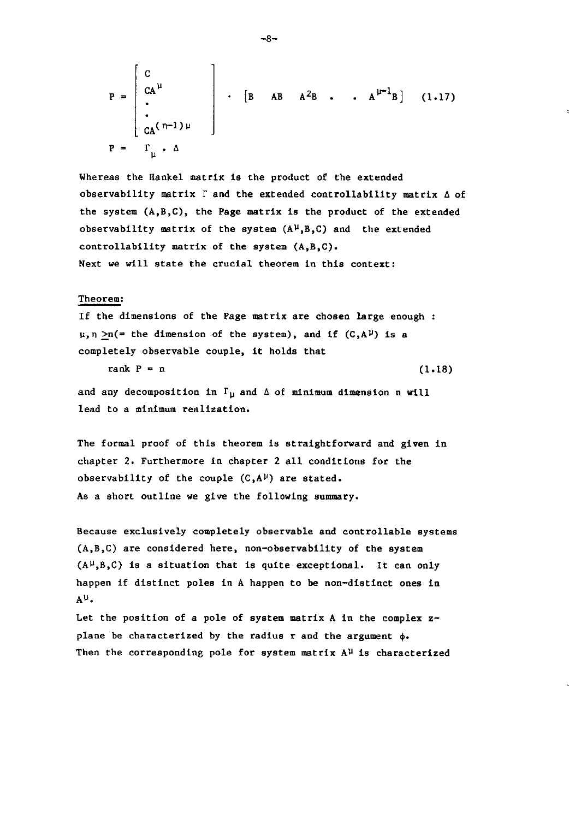$$
P = \begin{bmatrix} C \\ CA^{\mu} \\ \vdots \\ CA^{(n-1)\mu} \end{bmatrix} \cdot [B \ AB \ A^{2}B \ \cdot \ A^{\mu-1}B] \quad (1.17)
$$
  

$$
P = \Gamma_{\mu} \cdot \Delta
$$

Whereas the Hankel matrix is the product of the extended observability matrix  $\Gamma$  and the extended controllability matrix  $\Delta$  of the system  $(A, B, C)$ , the Page matrix is the product of the extended observability matrix of the system  $(A^{\mu},B,C)$  and the extended controllability matrix of the system (A,B,C). Next we will state the crucial theorem in this context:

#### Theorem:

If the dimensions of the Page matrix are chosen large enough  $\mu$ ,  $\eta$  >n(= the dimension of the system), and if (C,A<sup>p</sup>) is a completely observable couple, it holds that

**rank P = n** (1.18)

and any decomposition in  $\Gamma_{\text{U}}$  and  $\Delta$  of minimum dimension n will lead to a minimum realization.

The formal proof of this theorem is straightforward and given in chapter 2. Furthermore in chapter 2 all conditions for the observability of the couple  $(C, A^{\mu})$  are stated. As a short outline we give the following summary.

Because exclusively completely observable and controllable systems (A,B,C) are considered here, non-observability of the system  $(A^{\mu},B,C)$  is a situation that is quite exceptional. It can only happen if distinct poles in A happen to be non-distinct ones in AU.

Let the position of a pole of system matrix A in the complex  $z$ plane be characterized by the radius r and the argument  $\phi$ . Then the corresponding pole for system matrix  $A^{\mu}$  is characterized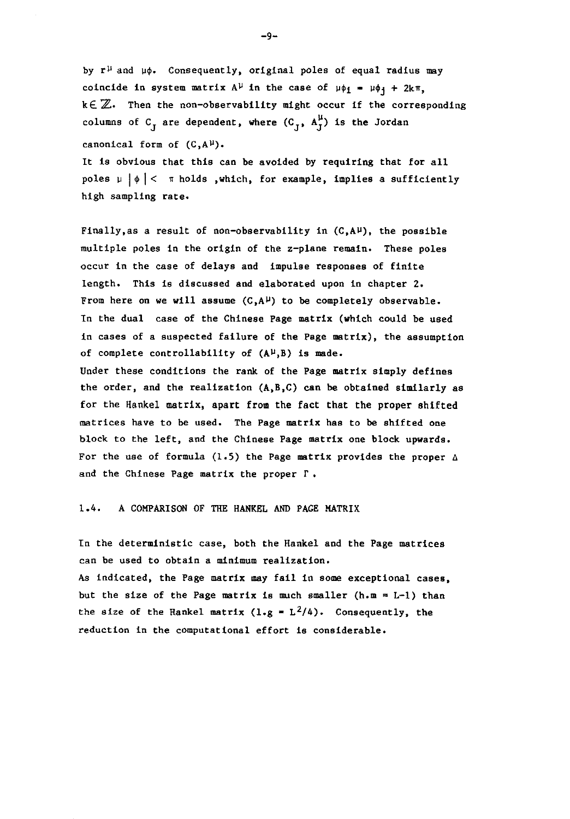by  $r^{\mu}$  and  $\mu\phi$ . Consequently, original poles of equal radius may coincide in system matrix  $A^{\mu}$  in the case of  $\mu \phi_1 = \mu \phi_1 + 2k\pi$ ,  $k\in\mathbb{Z}$ . Then the non-observability might occur if the corresponding columns of  $C_J$  are dependent, where  $(C_J^-, A_J^{\mu})$  is the Jordan canonical form of  $(C, A^{\mu})$ .

It is obvious that this can be avoided by requiring that for all poles  $\mu \mid \phi \mid$  <  $\pi$  holds , which, for example, implies a sufficiently high sampling rate.

Finally, as a result of non-observability in  $(C, A^{\mu})$ , the possible multiple poles in the origin of the z-plane remain. These poles occur in the case of delays and impulse responses of finite length. This is discussed and elaborated upon in chapter 2. From here on we will assume  $(C, A^{\mu})$  to be completely observable. In the dual case of the Chinese Page matrix (which could be used in cases of a suspected failure of the Page matrix), the assumption of complete controllability of  $(A^{\mu},B)$  is made. Under these conditions the rank of the Page matrix simply defines the order, and the realization (A,B,C) can be obtained similarly as for the Hankel matrix, apart from the fact that the proper shifted matrices have to be used. The Page matrix has to be shifted one block to the left, and the Chinese Page matrix one block upwards. For the use of formula (1.5) the Page matrix provides the proper  $\Delta$ and the Chinese Page matrix the proper  $\Gamma$ .

#### 1.4. A COMPARISON OF THE HANKEL AND PAGE MATRIX

In the deterministic case, both the Hankel and the Page matrices can be used to obtain a minimum realization. As indicated, the Page matrix may fail in some exceptional cases, but the size of the Page matrix is much smaller (h.m  $= L-1$ ) than the size of the Hankel matrix  $(1 \cdot g = L^2/4)$ . Consequently, the reduction in the computational effort is considerable.

-9-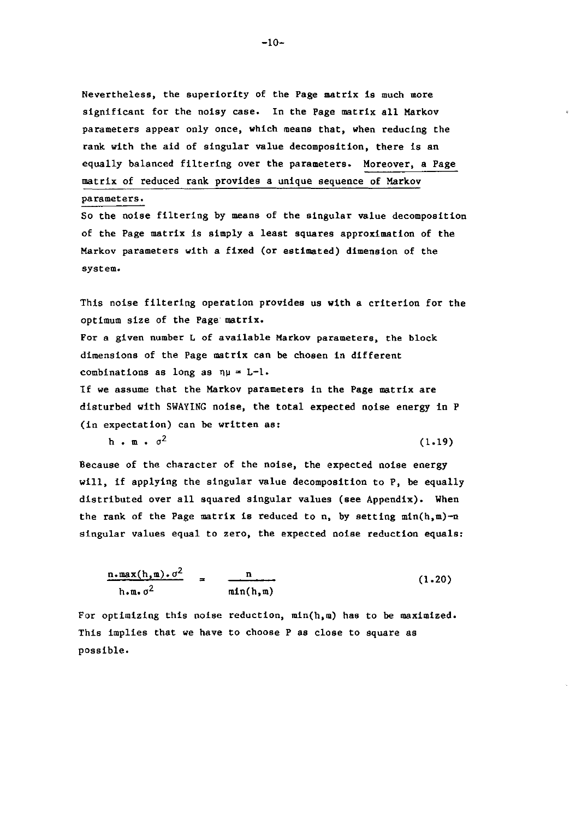Nevertheless, the superiority of the Page matrix is much more significant for the noisy case. In the Page matrix all Markov parameters appear only once, which means that, when reducing the rank with the aid of singular value decomposition, there is an equally balanced filtering over the parameters. Moreover, a Page matrix of reduced rank provides a unique sequence of Markov **parameters.** 

So the noise filtering by means of the singular value decomposition of the Page matrix is simply a least squares approximation of the Markov parameters with a fixed (or estimated) dimension of the **system.** 

This noise filtering operation provides us with a criterion for the optimum size of the Page· matrix.

**For a given number L of available Markov parameters, the block**  dimensions of the Page matrix can be chosen in different combinations as long as  $\eta\mu = L-l$ .

If we assume that the Markov parameters in the Page matrix are disturbed with SWAYING noise, the total expected noise energy in P (in expectation) can be written as:

 $h \cdot m \cdot \sigma^2$  (1.19)

Because of the character of the noise, the expected noise energy will, if applying the singular value decomposition to P, be equally distributed over all squared singular values (see Appendix). When the rank of the Page matrix is reduced to n, by setting  $min(h, m) - n$ singular values equal to zero, the expected noise reduction equals:

$$
\frac{n \cdot \max(h, m) \cdot \sigma^2}{h \cdot m \cdot \sigma^2} = \frac{n}{\min(h, m)}
$$
 (1.20)

For optimizing this noise reduction, min(h,m) has to be maximized. This implies that we have to choose P as close to square as possible.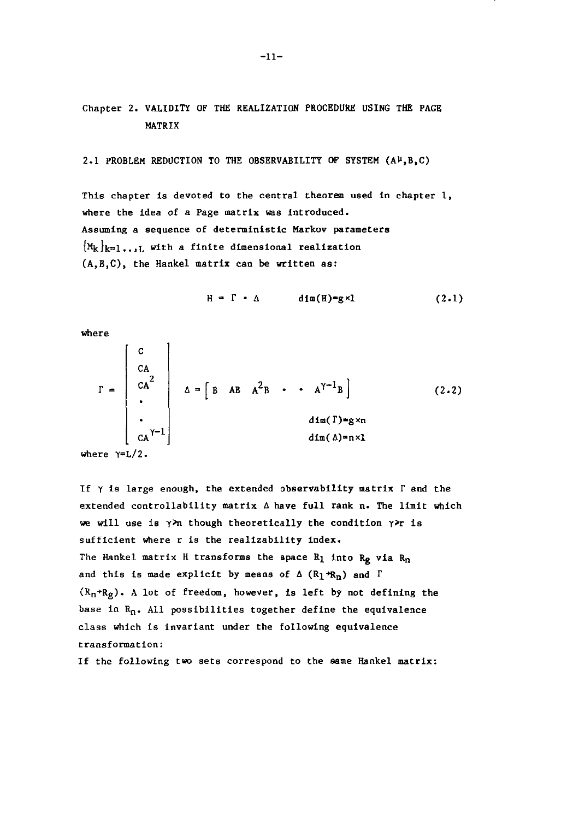Chapter 2. VALIDITY OF THE REALIZATION PROCEDURE USING THE PAGE MATRIX

2.1 PROBLEM REDUCTION TO THE OBSERVABILITY OF SYSTEM  $(A^{\mu},B,C)$ 

This chapter is devoted to the central theorem used in chapter 1, where the idea of a Page matrix was introduced. **Assuming a sequence of deterministic Markov parameters**   ${M_k}_{k=1...L}$  with a finite dimensional realization (A,B,C), the Hankel matrix can be written as:

$$
H = \Gamma \cdot \Delta \qquad \text{dim}(H) = g \times 1 \qquad (2.1)
$$

where

$$
\Gamma = \begin{bmatrix} C \\ CA \\ CA \\ CA^2 \\ \cdot \\ \cdot \\ CA^{\gamma - 1} \end{bmatrix} \quad \Delta = \begin{bmatrix} B & AB & A^2B & \cdot \\ & \cdot & A^{\gamma - 1}B \end{bmatrix} \quad (2.2)
$$

**where** Y=L/2.

If  $\gamma$  is large enough, the extended observability matrix  $\Gamma$  and the extended controllability matrix  $\Delta$  have full rank n. The limit which we will use is  $\gamma$ >n though theoretically the condition  $\gamma$ >r is sufficient where r is the realizability index. The Hankel matrix H transforms the space  $R_1$  into  $R_g$  via  $R_n$ and this is made explicit by means of  $\Delta$  ( $R_1 \star R_n$ ) and  $\Gamma$  $(R_n+R_g)$ . A lot of freedom, however, is left by not defining the base in  $R_n$ . All possibilities together define the equivalence class which is invariant under the following equivalence **transformation:** 

If the following two sets correspond to the same Hankel matrix: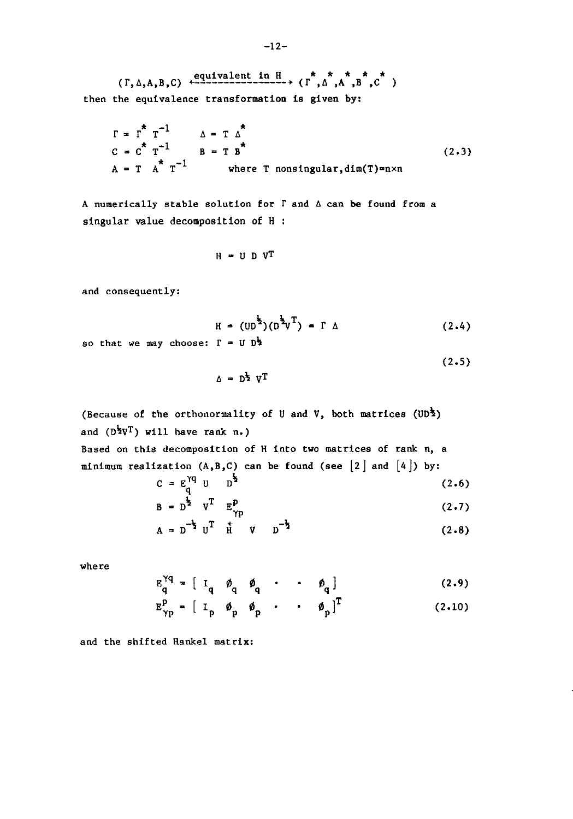$(\Gamma, \Delta, A, B, C)$  equivalent in H  $(\Gamma, \Delta, A, A, B, C)$ then the equivalence transformation is given by:

$$
\Gamma = \Gamma^* \Gamma^{-1} \qquad \Delta = \Gamma \Delta^*
$$
  
\n
$$
C = C^* \Gamma^{-1} \qquad B = T B^*
$$
  
\n
$$
A = T A^* \Gamma^{-1} \qquad \text{where } T \text{ nonsingular}, \text{dim}(T) = n \times n
$$
 (2.3)

A numerically stable solution for  $\Gamma$  and  $\Delta$  can be found from a singular value decomposition of H

$$
H = U D V^T
$$

and consequently:

$$
H = (UD1/2)(D1/2UT) = \Gamma \triangle
$$
 (2.4)

 $(2.5)$ 

so that we may choose:  $\Gamma = U D^{\frac{1}{2}}$ 

 $A = D^{\frac{1}{2}} V^T$ 

(Because of the orthonormality of U and V, both matrices 
$$
(UD^{\frac{1}{2}})
$$
  
and  $(D^{\frac{1}{2}}V^{T})$  will have rank n.)  
Based on this decomposition of H into two matrices of rank n, a  
minimum realization  $(A, B, C)$  can be found (see [2] and [4]) by:

$$
C = E_{q}^{Yq} U D^{\frac{1}{2}}
$$
 (2.6)

$$
B = D^{\frac{1}{2}} \quad V^{\text{T}} \quad E_{\gamma p}^{\text{P}}
$$
 (2.7)

$$
A = D^{-\frac{1}{2}} U^{T} \quad \frac{1}{H} \quad V \quad D^{-\frac{1}{2}} \tag{2.8}
$$

where

$$
E_{q}^{\gamma q} = \begin{bmatrix} I_{q} & \phi_{q} & \phi_{q} & \cdots & \phi_{q} \end{bmatrix}
$$
 (2.9)

$$
E_{\gamma p}^p = \begin{bmatrix} I_p & \phi_p & \phi_p & \cdot & \cdot & \phi_p \end{bmatrix}^T
$$
 (2.10)

and the shifted Hankel matrix: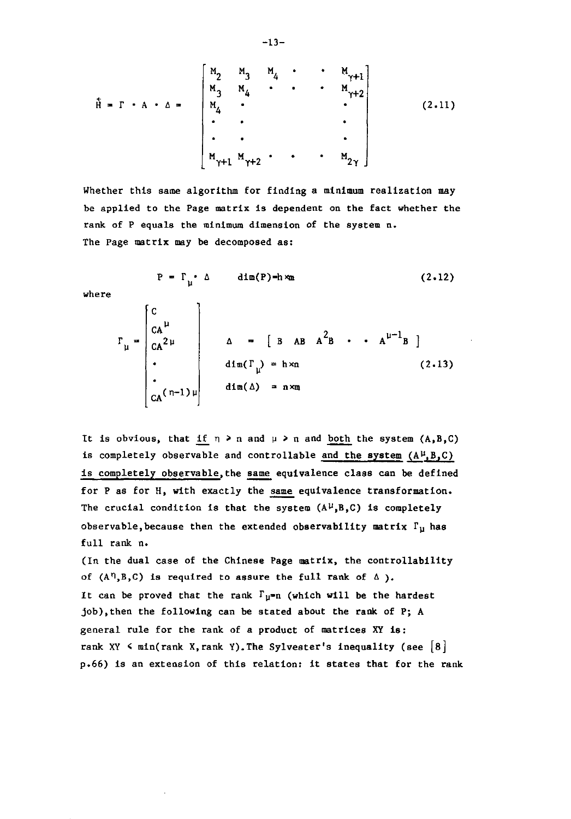$$
\tilde{H} = \Gamma \cdot A \cdot \Delta = \begin{bmatrix} M_2 & M_3 & M_4 & \cdot & \cdot & M_{\gamma+1} \\ M_3 & M_4 & \cdot & \cdot & \cdot & M_{\gamma+2} \\ M_4 & \cdot & & & \cdot & \cdot \\ \cdot & \cdot & & & & \cdot \\ \cdot & \cdot & & & & \cdot \\ \cdot & \cdot & & & & \cdot \\ M_{\gamma+1} & M_{\gamma+2} & \cdot & \cdot & \cdot & M_{2\gamma} \end{bmatrix}
$$
 (2.11)

Whether this same algorithm for finding a minimum realization may be applied to the Page matrix Is dependent on the fact whether the rank of P equals the minimum dimension of the system n. The Page matrix may be decomposed as:

$$
P = \Gamma_{\mu} \cdot \Delta \quad \text{dim}(P) = h \times m \qquad (2.12)
$$
  

$$
\Gamma_{\mu} = \begin{bmatrix} C & & \\ CA^{\mu} & & \\ CA^2^{\mu} & & \\ A & = [B \ AB \ A^2B \ \cdot \ A^{\mu-1}B] \end{bmatrix}
$$
  

$$
\text{dim}(\Gamma_{\mu}) = h \times n \qquad (2.13)
$$

**where** 

It is obvious, that if  $n \ge n$  and  $\mu \ge n$  and both the system  $(A, B, C)$ is completely observable and controllable and the system  $(A^{\mu},B,C)$ is completely observable, the same equivalence class can be defined for  $P$  as for  $H$ , with exactly the same equivalence transformation. The crucial condition is that the system  $(A^{\mu},B,C)$  is completely observable, because then the extended observability matrix  $\Gamma_{\rm H}$  has full rank n.

 $d$ im $(\Delta)$  = n×m

(In the dual case of the Chinese Page matrix, the controllability of  $(A^n, B, C)$  is required to assure the full rank of  $\Delta$ ). It can be proved that the rank  $\Gamma_{\mathfrak{u}^{\mathfrak{m}}}$  (which will be the hardest job),then the following can be stated about the rank of P; A general rule for the rank of a product of matrices XY is: rank XY  $\leq$  min(rank X, rank Y). The Sylvester's inequality (see  $|8|$ p.66) is an extension of this relation: it states that for the rank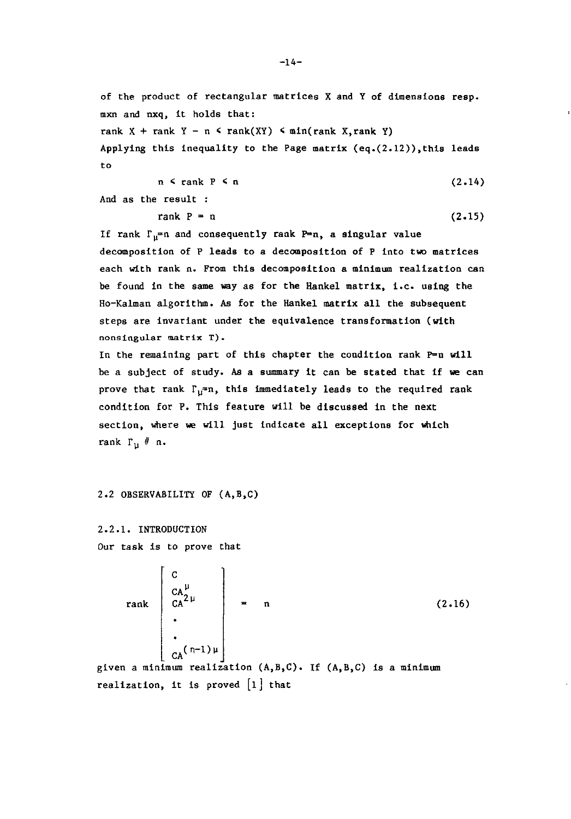of the product of rectangular matrices X and Y of dimensions resp. mxn and nxq, it holds that: rank X + rank Y - n < rank(XY) < min(rank X, rank Y) Applying this inequality to the Page matrix  $(eq.(2.12))$ , this leads to

$$
n \leq \text{rank } P \leq n \tag{2.14}
$$

And as the result :

$$
rank P = n \tag{2.15}
$$

If rank  $\Gamma_{\mathfrak{u}}=n$  and consequently rank P=n, a singular value decomposition of P leads to a decomposition of P into two matrices each with rank n. From this decomposition a minimum realization can be found in the same way as for the Hankel matrix, i.e. using the Ho-Kalman algorithm. As for the Hankel matrix all the subsequent steps are invariant under the equivalence transformation (with **nonsingular matrix T).** 

In the remaining part of this chapter the condition rank P=n will be a subject of study. As a summary it can be stated that if we can prove that rank  $\Gamma_{\text{U}}=n$ , this immediately leads to the required rank condition for P. This feature will be discussed in the next section, where we will just indicate all exceptions for which rank  $\Gamma_{\text{u}}$  # n.

2.2 OBSERVABILITY OF (A,B,C)

2.2.1. INTRODUCTION Our task is to prove that

 $rank \begin{bmatrix} CA^{2\mu} \\ \end{bmatrix} = n$  (2.16)  $\sim$  (n-l)+. given a minimum realization  $(A, B, C)$ . If  $(A, B, C)$  is a minimum

realization, it is proved  $\lfloor 1 \rfloor$  that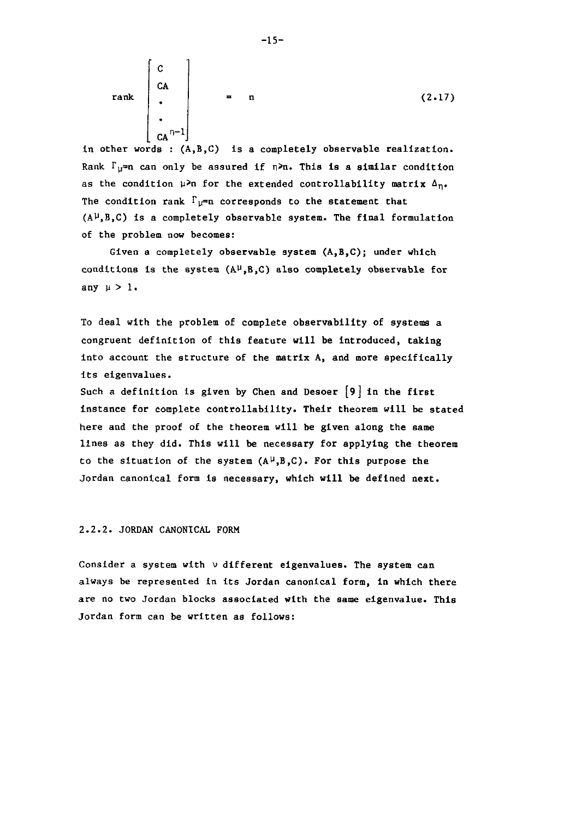$$
\text{rank}\begin{bmatrix} C \\ CA \\ C A \\ \vdots \\ CA^{n-1} \end{bmatrix} = n \tag{2.17}
$$

in other words : (A,B,C) is a completely observable realization. Rank  $\Gamma_{11}$ =n can only be assured if  $n\ge n$ . This is a similar condition as the condition  $\mu$ >n for the extended controllability matrix  $\Delta_{n^*}$ The condition rank  $\Gamma_{\text{U}}=n$  corresponds to the statement that  $(A^{\mu},B,C)$  is a completely observable system. The final formulation of the problem now becomes:

Given a completely observable system (A,B,C); under which conditions is the system  $(A^{\mu},B,C)$  also completely observable for any  $\mu > 1$ .

To deal with the problem of complete observability of systems a congruent definition of this feature will be introduced, taking into account the structure of the matrix A, and more specifically its eigenvalues.

Such a definition is given by Chen and Desoer  $[9]$  in the first instance for complete controllability. Their theorem will be stated here and the proof of the theorem will be given along the same lines as they did. This will be necessary for applying the theorem to the situation of the system  $(A^{\mu},B,C)$ . For this purpose the Jordan canonical form is necessary, which will be defined next.

#### 2.2.2. JORDAN CANONICAL FORM

Consider a system with  $\nu$  different eigenvalues. The system can always be represented in its Jordan canonical form, in which there are no two Jordan blocks associated with the same eigenvalue. This Jordan form can be written as follows: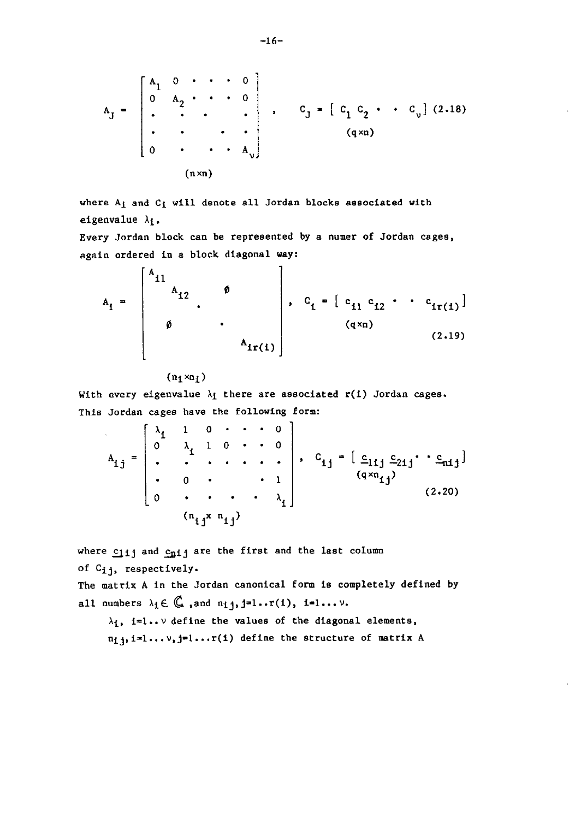$$
A_{J} = \begin{bmatrix} A_{1} & 0 & \cdots & 0 \\ 0 & A_{2} & \cdots & 0 \\ \vdots & \vdots & \ddots & \vdots \\ 0 & \cdots & \cdots & A_{v} \end{bmatrix}, \qquad C_{J} = \begin{bmatrix} C_{1} & C_{2} & \cdots & C_{v} \end{bmatrix} (2.18)
$$
  
(q×n)

where  $A_i$  and  $C_i$  will denote all Jordan blocks associated with eigenvalue  $\lambda_1$ .

Every Jordan block can be represented by a numer of Jordan cages, again ordered in a block diagonal way:

$$
A_{1} = \begin{bmatrix} A_{11} & & & & & \\ & A_{12} & & & & \\ & & \ddots & & & \\ & & & & \ddots & \\ & & & & & A_{1r(1)} \end{bmatrix}, \quad C_{1} = \begin{bmatrix} c_{11} & c_{12} & \cdots & c_{1r(1)} \end{bmatrix}
$$
(q×n) (2.19)

 $(n_1 \times n_1)$ 

With every eigenvalue  $\lambda_1$  there are associated r(i) Jordan cages. This Jordan cages have the following form:

$$
A_{1j} = \begin{bmatrix} \lambda_1 & 1 & 0 & \cdots & 0 \\ 0 & \lambda_1 & 1 & 0 & \cdots & 0 \\ \vdots & \vdots & \ddots & \vdots & \ddots & \vdots \\ 0 & 0 & \cdots & \cdots & 1 \\ 0 & \cdots & \cdots & \cdots & \lambda_1 \end{bmatrix}, C_{1j} = \begin{bmatrix} c_{11j} c_{21j} & c_{21j} \cdots c_{n1j} \end{bmatrix}
$$
(2.20)

where  $c_{11}$  and  $c_{p1}$  are the first and the last column of Cij, respectively.

The matrix A in the Jordan canonical form is completely defined by all numbers  $\lambda_1 \in \mathbb{C}$  , and  $n_1 j, j=1 \ldots r(1)$ , i=1... $\nu$ .

 $\lambda_1$ , i=l.. v define the values of the diagonal elements,  $n_1$ <sub>1</sub>, i=l... $v$ , j=l...r(i) define the structure of matrix A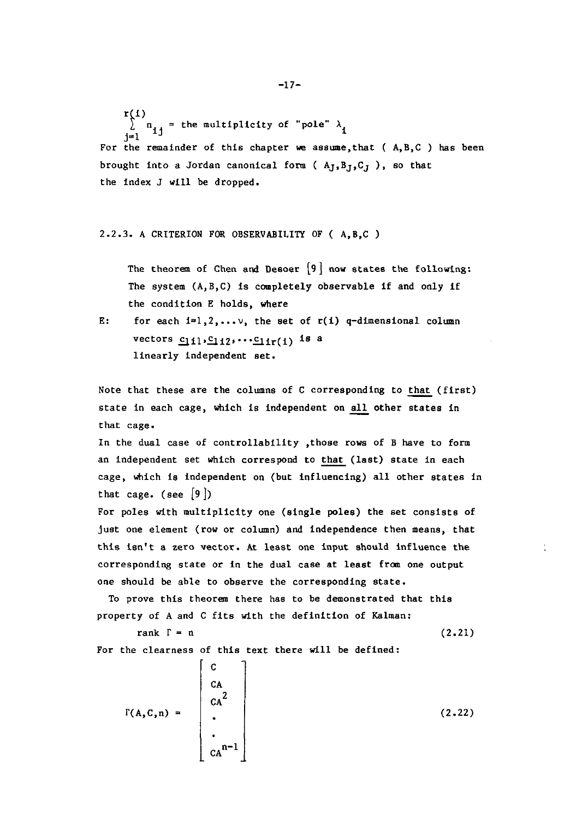-17-

 $r(1)$  $\sum_{j=1}^{\infty} n_{1,j}$  = the multiplicity of "pole"  $\lambda_i$ For the remainder of this chapter we assume, that  $(A, B, C)$  has been brought into a Jordan canonical form ( $A<sub>J</sub>, B<sub>J</sub>, C<sub>J</sub>$ ), so that the index J will be dropped.

## 2.2.3. A CRITERION FOR OBSERVABILITY OF ( A.B.C )

The theorem of Chen and Desoer  $\{9\}$  now states the following: The system (A.B.C) is completely observable if and only if the condition E holds. where

E: for each  $i=1,2,...,v$ , the set of  $r(i)$  q-dimensional column vectors  $c_1$ <sub>11</sub>, $c_1$ <sub>12</sub>, $\cdots$  $c_1$ <sub>1r</sub>(1) is a linearly independent set.

Note that these are the columns of  $C$  corresponding to that (first) state in each cage, which is independent on all other states in that cage.

In the dual case of controllability .those rows of B have to form an independent set which correspond to that (last) state in each cage. which is independent on (but influencing) all other states in that cage. (see  $\{9\}$ )

For poles with multiplicity one (single poles) the set consists of just one element (row or column) and independence then means, that this isn't a zero vector. At least one input should influence the corresponding state or in the dual case at lesst from one output one should be able to observe the corresponding state.

To prove this theorem there has to be demonstrated that this property of A and C fits with the definition of Kalman:

> rank  $\Gamma = n$ (2.21)

For the clearness of this text there will be defined:

 $\Gamma(A, C, n) =$  $ca^{n-1}$ (2.22)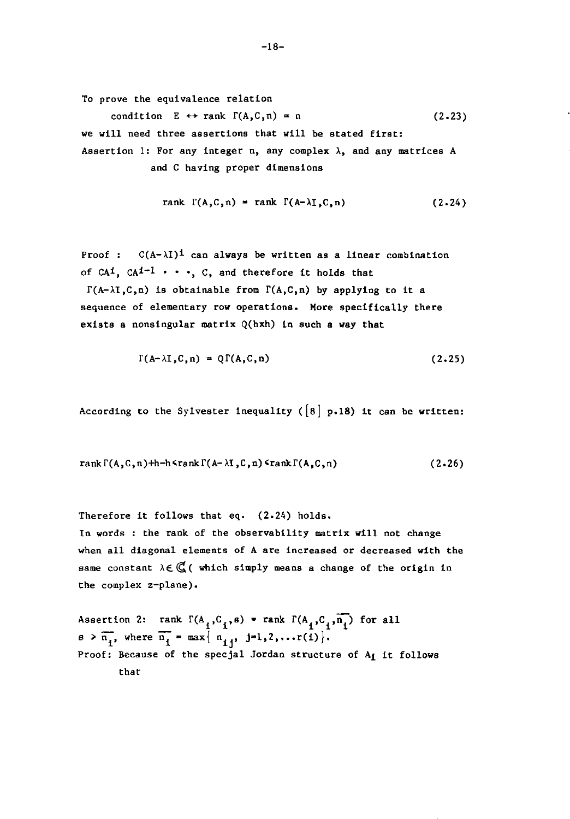To prove the equivalence relation

condition  $E \leftrightarrow \text{rank } \Gamma(A, C, n) = n$  (2.23) we will need three assertions that will be stated first: Assertion 1: For any integer n, any complex  $\lambda$ , and any matrices A and C having proper dimensions

rank 
$$
\Gamma(A, C, n) = \text{rank } \Gamma(A-\lambda I, C, n)
$$
 (2.24)

Proof:  $C(A-\lambda I)^{\frac{1}{2}}$  can always be written as a linear combination of CA<sup>1</sup>, CA<sup>1-1</sup>  $\cdots$ , C, and therefore it holds that

 $\Gamma(A-\lambda I,C,n)$  is obtainable from  $\Gamma(A,C,n)$  by applying to it a sequence of elementary row operations. More specifically there exists a nonsingular matrix  $Q(hxh)$  in such a way that

$$
\Gamma(A-\lambda I,C,n) = Q\Gamma(A,C,n) \qquad (2.25)
$$

According to the Sylvester inequality ( $[8]$  p.18) it can be written:

$$
rank \Gamma(A,C,n)+h-h \cdot rank \Gamma(A-\lambda I,C,n) \cdot rank \Gamma(A,C,n) \qquad (2.26)
$$

Therefore it follows that eq. (2.24) holds. In words : the rank of the observability matrix will not change when all diagonal elements of A are increased or decreased with the same constant  $\lambda \in \mathbb{C}$  (which simply means a change of the origin in the complex z-plane).

Assertion 2: rank  $\Gamma(A_i, C_i, s) = \text{rank } \Gamma(A_i, C_i, \overline{n_i})$  for all  $s > \overline{n_i}$ , where  $\overline{n_i} = \max \{ n_{i,j}, j=1,2,...(i) \}.$ Proof: Because of the specjal Jordan structure of A<sub>i</sub> it follows that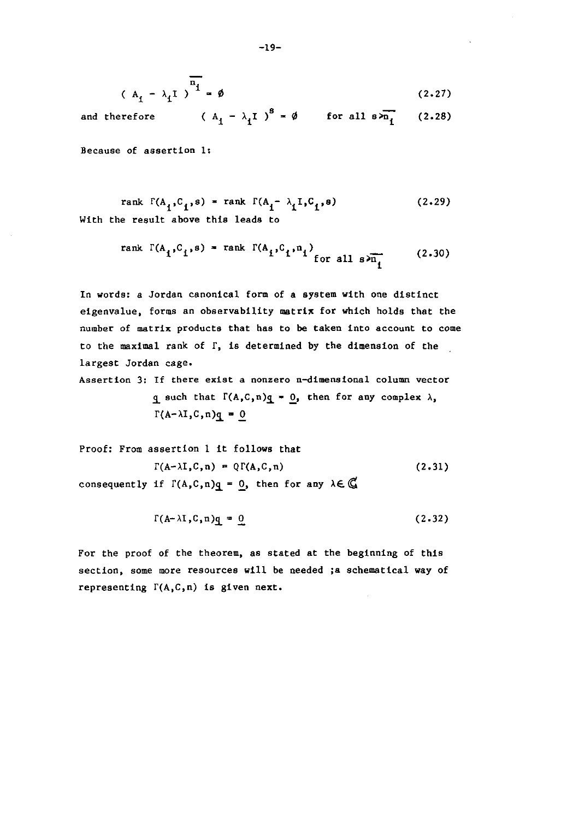$$
(\mathbf{A}_{\mathbf{i}} - \lambda_{\mathbf{i}} \mathbf{I})^{\mathbf{n}_{\mathbf{i}}} = \emptyset
$$
 (2.27)

and therefore  $(A_1 - \lambda_1 I)^8 = \emptyset$  for all  $s \lambda_{n_1}$  (2.28)

**Because of assertion 1:** 

rank 
$$
\Gamma(A_1, C_1, s) = \text{rank } \Gamma(A_1 - \lambda_1 I, C_1, s)
$$
 (2.29)  
With the result above this leads to

rank 
$$
\Gamma(A_i, C_i, s) = \text{rank } \Gamma(A_i, C_i, n_i)
$$
 for all  $s \geqslant n_i$  (2.30)

In words: a Jordan canonical form of a system with one distinct eigenvalue, forms an observability matrix for which holds that the **number of matrix products that has to be taken into account to come**  to the maximal rank of r, is determined by the dimension of the largest Jordan cage.

**Assertion 3: If there exist a nonzero n-dimensional column vector** 

q such that  $\Gamma(A,C,n)q = 0$ , then for any complex  $\lambda$ ,  $\Gamma(A-\lambda I,C,n)q = 0$ 

Proof: From assertion 1 it follows that  
\n
$$
\Gamma(A-\lambda I, C, n) = Q\Gamma(A, C, n)
$$
\n
$$
\text{(2.31)}
$$
\nconsequently if  $\Gamma(A, C, n)q = 0$ , then for any  $\lambda \in \mathbb{C}$ 

$$
\Gamma(A-\lambda I, C, n)q = 0 \qquad (2.32)
$$

For the proof of the theorem, as stated at the beginning of this section, some more resources will be needed ;a schematical way of representing  $\Gamma(A, C, n)$  is given next.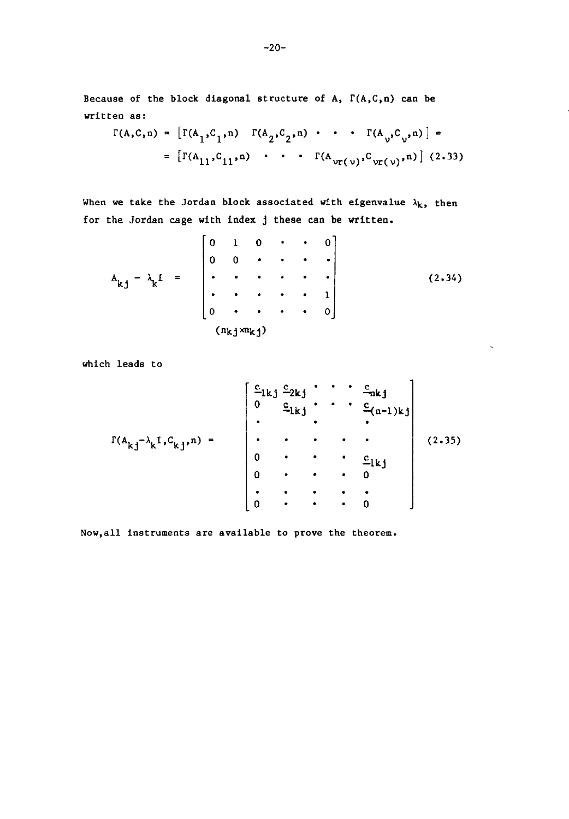Because of the block diagonal structure of A,  $\Gamma(A,C,n)$  can be written as:

$$
\Gamma(A, C, n) = \left[ \Gamma(A_1, C_1, n) \quad \Gamma(A_2, C_2, n) \cdot \cdot \cdot \Gamma(A_2, C_2, n) \right] = \left[ \Gamma(A_{11}, C_{11}, n) \cdot \cdot \cdot \Gamma(A_{\nu r(\nu)}, C_{\nu r(\nu)}, n) \right] (2.33)
$$

When we take the Jordan block associated with eigenvalue  $\lambda_k$ , then for the Jordan cage with index j these can be written.

$$
A_{kj} - \lambda_k I = \begin{bmatrix} 0 & 1 & 0 & \cdot & \cdot & 0 \\ 0 & 0 & \cdot & \cdot & \cdot & \cdot \\ \cdot & \cdot & \cdot & \cdot & \cdot & \cdot \\ \cdot & \cdot & \cdot & \cdot & \cdot & \cdot \\ 0 & \cdot & \cdot & \cdot & \cdot & \cdot \\ 0 & \cdot & \cdot & \cdot & \cdot & \cdot \\ (n_{kj} \times n_{kj}) & \end{bmatrix}
$$
 (2.34)

 $\zeta$ 

which leads to

$$
\Gamma(A_{k,j} - \lambda_k I, C_{k,j}, n) = \begin{bmatrix} \frac{c_{1k,j}}{0} & \frac{c_{2k,j}}{1} & \cdots & \frac{c_{nk,j}}{1} \\ \vdots & \vdots & \ddots & \vdots \\ \vdots & \vdots & \ddots & \vdots \\ 0 & \cdots & \cdots & \vdots \\ 0 & \cdots & \cdots & \vdots \\ \vdots & \vdots & \ddots & \vdots \\ 0 & \cdots & \cdots & \vdots \\ 0 & \cdots & \cdots & \cdots \end{bmatrix} (2.35)
$$

NOw, all **instruments are available to prove the theorem.**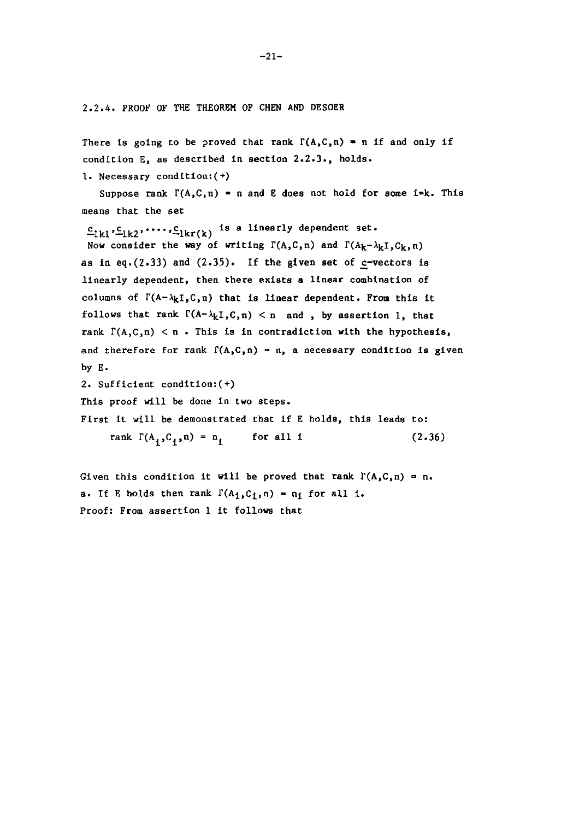2.2.4. PROOF OF THE THEOREM OF CHEN AND DESOER

There is going to be proved that rank  $\Gamma(A, C, n) = n$  if and only if condition E, as described in section 2.2.3., holds. 1. Necessary condition:(+)

Suppose rank  $\Gamma(A, C, n) = n$  and E does not hold for some i=k. This means that the set

 $c_{1k1}c_{1k2}...c_{1kr(k)}$  is a linearly dependent set.

Now consider the way of writing  $\Gamma(A, C, n)$  and  $\Gamma(A_k - \lambda_k I, C_k, n)$ as in eq.(2.33) and  $(2.35)$ . If the given set of c-vectors is linearly dependent, then there exists a linear combination of columns of  $\Gamma(A-\lambda_kI,C,n)$  that is linear dependent. From this it follows that rank  $\Gamma(A-\lambda_kI,C,n) < n$  and, by assertion 1. that rank  $\Gamma(A,C,n) < n$ . This is in contradiction with the hypothesis, and therefore for rank  $\Gamma(A, C, n) = n$ , a necessary condition is given by E.

2. Sufficient conditlon:(+)

This proof will be done in two steps.

First it will be demonstrated that if E holds, this leads to:

rank  $\Gamma(A_1, C_1, n) = n_1$  for all i (2.36)

Given this condition it will be proved that rank  $\Gamma(A,C,n) = n$ . a. If E holds then rank  $\Gamma(A_1, C_1, n) = n_1$  for all i. Proof: From assertion 1 it follows that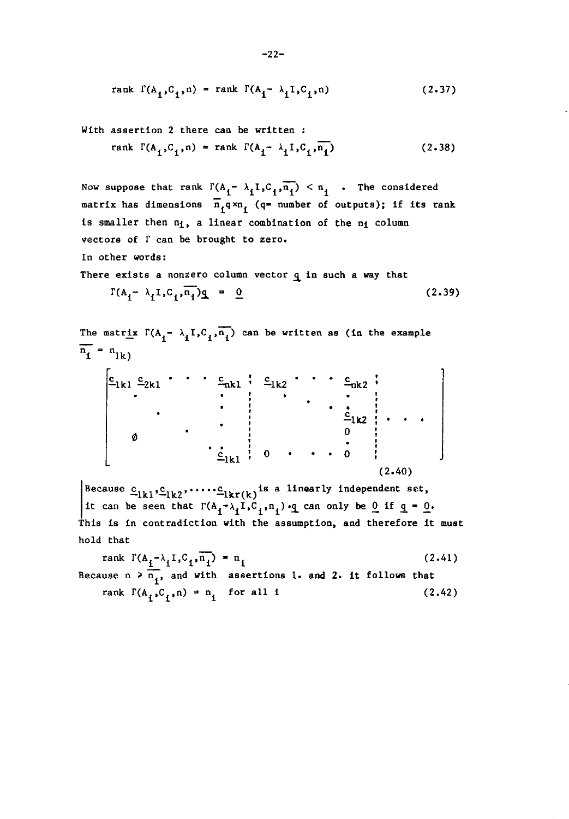rank 
$$
\Gamma(A_1, C_1, n) = \text{rank } \Gamma(A_1 - \lambda_1 I, C_1, n)
$$
 (2.37)

With assertion 2 there can be written :

rank 
$$
\Gamma(A_1, C_1, n) =
$$
 rank  $\Gamma(A_1 - \lambda_1 I, C_1, n_1)$  (2.38)

Now suppose that rank  $\Gamma(A_i - \lambda_1 I, C_i, \overline{n_i}) < n_i$  . The considered matrix has dimensions  $\overline{n}_1 \overline{q} \times n_1$  (q= number of outputs); if its rank is smaller then  $n_i$ , a linear combination of the  $n_i$  column vectors of  $\Gamma$  can be brought to zero. In other words: There exists a nonzero column vector  $q$  in such a way that  $\Gamma(A_{i} - \lambda_{i}I, C_{i}, \overline{n_{i}})q = 0$  (2.39)

The matrix 
$$
\Gamma(A_1 - \lambda_1 I, C_1, \overline{n_1})
$$
 can be written as (in the example)  
\n
$$
\overline{n_1} = n_{1k}
$$
\n
$$
\begin{bmatrix}\n\underline{c}_{1k1} & \underline{c}_{2k1} & \cdots & \underline{c}_{nk1} & \vdots & \underline{c}_{1k2} & \cdots & \underline{c}_{nk2} \\
\vdots & \vdots & \vdots & \vdots & \ddots & \vdots \\
\vdots & \vdots & \vdots & \vdots & \vdots & \vdots \\
\vdots & \vdots & \vdots & \vdots & \vdots & \vdots \\
\vdots & \vdots & \vdots & \vdots & \vdots & \vdots \\
\vdots & \vdots & \vdots & \vdots & \vdots & \vdots \\
\vdots & \vdots & \vdots & \vdots & \vdots & \vdots \\
\vdots & \vdots & \vdots & \vdots & \vdots & \vdots \\
\vdots & \vdots & \vdots & \vdots & \vdots & \vdots \\
\vdots & \vdots & \vdots & \vdots & \vdots & \vdots \\
\vdots & \vdots & \vdots & \vdots & \vdots & \vdots \\
\vdots & \vdots & \vdots & \vdots & \vdots & \vdots \\
\vdots & \vdots & \vdots & \vdots & \vdots & \vdots \\
\vdots & \vdots & \vdots & \vdots & \vdots & \vdots \\
\vdots & \vdots & \vdots & \vdots & \vdots & \vdots \\
\vdots & \vdots & \vdots & \vdots & \vdots & \vdots \\
\vdots & \vdots & \vdots & \vdots & \vdots & \vdots \\
\vdots & \vdots & \vdots & \vdots & \vdots & \vdots \\
\vdots & \vdots & \vdots & \vdots & \vdots & \vdots \\
\vdots & \vdots & \vdots & \vdots & \vdots & \vdots \\
\vdots & \vdots & \vdots & \vdots & \vdots & \vdots \\
\vdots & \vdots & \vdots & \vdots & \vdots & \vdots \\
\vdots & \vdots & \vdots & \vdots & \vdots & \vdots \\
\vdots & \vdots & \vdots & \vdots & \vdots & \vdots \\
\vdots & \vdots & \vdots & \vdots & \vdots & \vdots \\
\vdots & \vdots & \vdots & \vdots & \vdots & \vdots \\
\vdots & \vdots & \vdots & \vdots & \vdots & \vdots \\
\vdots & \
$$

Because  $\underline{c}_{1k1}, \underline{c}_{1k2}, \ldots, \underline{c}_{1kr(k)}$  is a linearly independent set, it can be seen that  $\Gamma(A_1-\lambda_1I,C_1,n_1)$ . q can only be 0 if q = 0. This is in contradiction with the assumption, and therefore it must hold that

rank  $\Gamma(A_i - \lambda_i I, C_i, \overline{n_i}) = n_i$ Because  $n > \frac{1}{n_1}$ , and with assertions 1. and 2. it follows that rank  $\Gamma(A_i, C_i, n) = n_i$  for all i (2.41) (2.42)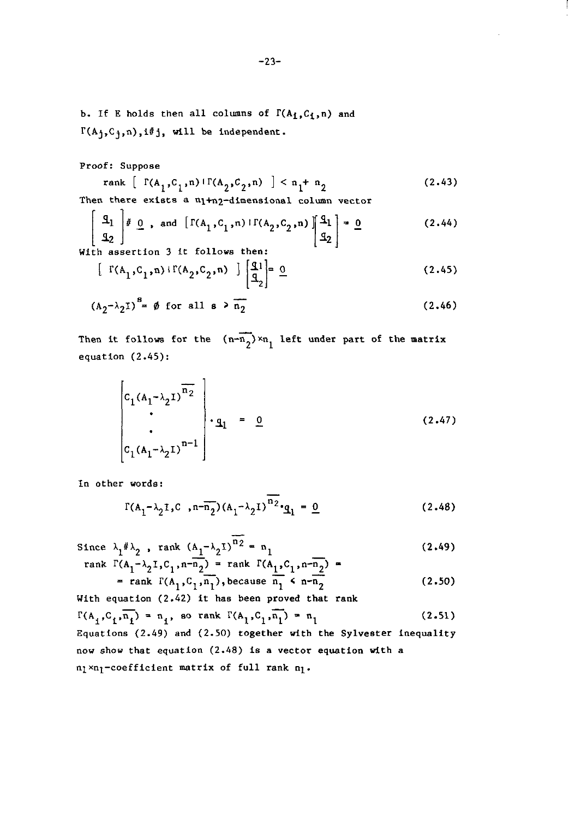b. If E holds then all columns of  $\Gamma(A_1, C_1, n)$  and  $\Gamma(A_j, C_j, n), i \# j$ , will be independent.

Proof: Suppose

rank 
$$
\left[ \Gamma(A_1, C_1, n) \Gamma(A_2, C_2, n) \right] < n_1 + n_2
$$
 (2.43)  
Then there exists a minimal polynomial column vector

Then there exists a n<sub>1+n2</sub>-dimensional column vector

$$
\begin{bmatrix} \mathfrak{A}_1 \\ \mathfrak{A}_2 \end{bmatrix} \nparallel \underline{0} \quad \text{and} \quad \begin{bmatrix} \Gamma(A_1, C_1, n) & \Gamma(A_2, C_2, n) \end{bmatrix} \begin{bmatrix} \mathfrak{A}_1 \\ \mathfrak{A}_2 \end{bmatrix} = \underline{0} \tag{2.44}
$$
\n
$$
\text{With assertion 3 it follows then:}
$$

$$
\begin{bmatrix} \Gamma(A_1, C_1, n) + \Gamma(A_2, C_2, n) \end{bmatrix} \begin{bmatrix} q_1 \\ q_2 \end{bmatrix} = \underline{0} \tag{2.45}
$$

$$
(A2- \lambda2I)8 = \emptyset \text{ for all } s > n2
$$
 (2.46)

Then it follows for the  $(n-\overline{n_2}) \times n_1$  left under part of the matrix equation (2.45):

$$
\begin{bmatrix} c_1 (A_1 - \lambda_2 I)^{\overline{n_2}} \\ \cdot \\ c_1 (A_1 - \lambda_2 I)^{n-1} \end{bmatrix} \cdot q_1 = 0
$$
 (2.47)

In other words:

$$
\Gamma(A_1 - \lambda_2 I, C, n - \overline{n_2})(A_1 - \lambda_2 I)^{n_2} \cdot \underline{q}_1 = \underline{0}
$$
 (2.48)

Since  $\lambda_1 \# \lambda_2$ , rank  $(A_1 - \lambda_2 I)^{n_2} = n_1$  (2.49)  $ra$ 

nk 
$$
\Gamma(A_1 - \lambda_2 I, C_1, n - \overline{n_2})
$$
 = rank  $\Gamma(A_1, C_1, n - \overline{n_2})$  =  
= rank  $\Gamma(A_1, C_1, \overline{n_1})$ , because  $\overline{n_1} \le n - \overline{n_2}$  (2.50)

With equation (2.42) it has been proved that rank  $\Gamma(A_1, C_1, n_1) = n_1$ , so rank  $\Gamma(A_1, C_1, n_1) = n_1$  (2.51)

Equations (2.49) and (2.50) together with the Sylvester inequality now show that equation (2.48) is a vector equation with a  $n_1$ xn<sub>l</sub>-coefficient matrix of full rank  $n_1$ .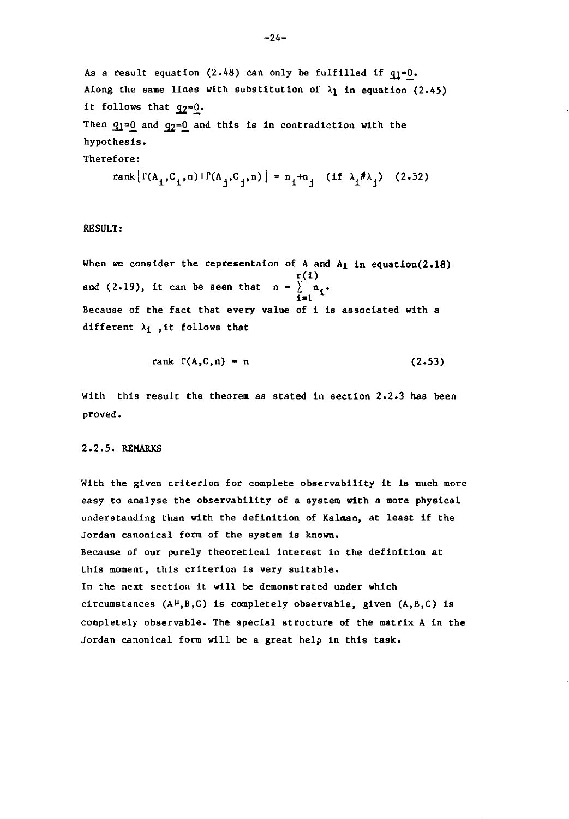As a result equation  $(2.48)$  can only be fulfilled if  $q_1=0$ . Along the same lines with substitution of  $\lambda_1$  in equation (2.45) it follows that  $q_2=0$ . Then  $q_1=0$  and  $q_2=0$  and this is in contradiction with the hypothesis. Therefore:

rank
$$
[\Gamma(A_1, C_1, n) | \Gamma(A_j, C_j, n)] = n_1 + n_j
$$
 (if  $\lambda_1 \neq \lambda_1$ ) (2.52)

RESULT:

When we consider the representaion of A and  $A_1$  in equation(2.18)  $r(1)$ and (2.19), it can be seen that  $n = \begin{bmatrix} n & n \\ n+1 & n \end{bmatrix}$ . Because of the fact that every value of i is associated with a different  $\lambda_1$ , it follows that

$$
rank \Gamma(A,C,n) = n \qquad (2.53)
$$

With this result the theorem as stated in section 2.2.3 has been proved.

#### 2.2.5. REMARKS

With the given criterion for complete observability it is much more easy to analyse the observability of a system with a more physical understanding than with the definition of Kalman, at least if the Jordan canonical form of the system is known. Because of our purely theoretical interest in the definition at this moment, this criterion is very suitable. In the next section it will be demonstrated under which circumstances  $(A^{\mu},B,C)$  is completely observable, given  $(A,B,C)$  is completely observable. The special structure of the matrix A in the Jordan canonical form will be a great help in this task.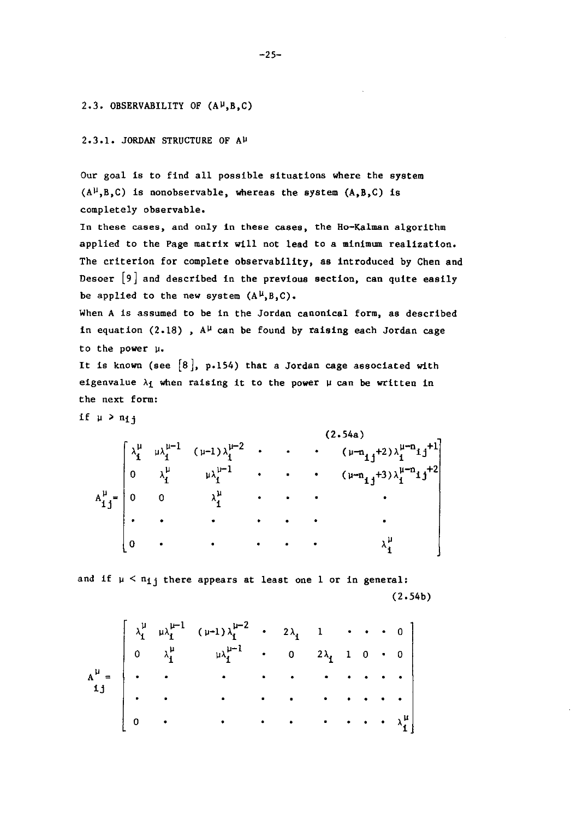#### 2.3. OBSERVABILITY OF  $(A^{\mu},B,C)$

 $2.3.1.$  JORDAN STRUCTURE OF  $A^{\mu}$ 

Our goal is to find all possible situations where the system  $(A<sup>\mu</sup>,B,C)$  is nonobservable, whereas the system  $(A,B,C)$  is completely observable.

**In these cases, and only in these cases, the Ho-Kalman algorithm**  applied to the Page matrix will not lead to a minimum realization. The criterion for complete observability, as introduced by Chen and Desoer [9] and described in the previous section, can quite easily be applied to the new system  $(A^{\mu},B,C)$ .

When A is assumed to be in the Jordan canonical form, as described in equation (2.18),  $A^{\mu}$  can be found by raising each Jordan cage to the power  $\mu$ .

It is known (see  $[8]$ , p.154) that a Jordan cage associated with eigenvalue  $\lambda_1$  when raising it to the power  $\mu$  can be written in the next form:

if  $\mu > n_{1}$ 

(2.54a)  $\lambda_1^{\mu}$   $\mu \lambda_1^{\mu-1}$   $(\mu-1)\lambda_1^{\mu-2}$   $\cdot$   $\cdot$   $(\mu-n_{1j}+2)\lambda_1^{\mu-n_{1j}+1}$ 0  $\lambda_1^{\mu}$   $\mu \lambda_1^{\mu-1}$  · · ·  $(\mu - n_{1j} + 3) \lambda_1^{\mu - n_{1j} + 2}$  $A_{ij}^{\mu} = \begin{bmatrix} 0 & 0 & \lambda_{1}^{\mu} & \cdots & \cdots & \lambda_{n}^{n} \end{bmatrix}$  $\bullet$  •  $\bullet$  •  $\bullet$  •  $\bullet$  •  $\bullet$  •  $\bullet$  •  $\bullet$  •  $\bullet$  • <sup>0</sup>• A~ <sup>i</sup>

and if  $\mu < n_1$ ; there appears at least one 1 or in general: (2.54b)

$$
A^{\mu} = \begin{bmatrix} \lambda_{1}^{\mu} & \mu \lambda_{1}^{\mu-1} & (\nu-1) \lambda_{1}^{\mu-2} & \cdot & 2\lambda_{1} & 1 & \cdot & \cdot & \cdot & 0 \\ 0 & \lambda_{1}^{\mu} & \mu \lambda_{1}^{\mu-1} & \cdot & 0 & 2\lambda_{1} & 1 & 0 & \cdot & 0 \\ \cdot & \cdot & \cdot & \cdot & \cdot & \cdot & \cdot & \cdot & \cdot & \cdot \\ \cdot & \cdot & \cdot & \cdot & \cdot & \cdot & \cdot & \cdot & \cdot & \cdot \\ 0 & \cdot & \cdot & \cdot & \cdot & \cdot & \cdot & \cdot & \cdot & \cdot & \cdot \\ 0 & \cdot & \cdot & \cdot & \cdot & \cdot & \cdot & \cdot & \cdot & \cdot & \cdot & \cdot \\ \end{bmatrix}
$$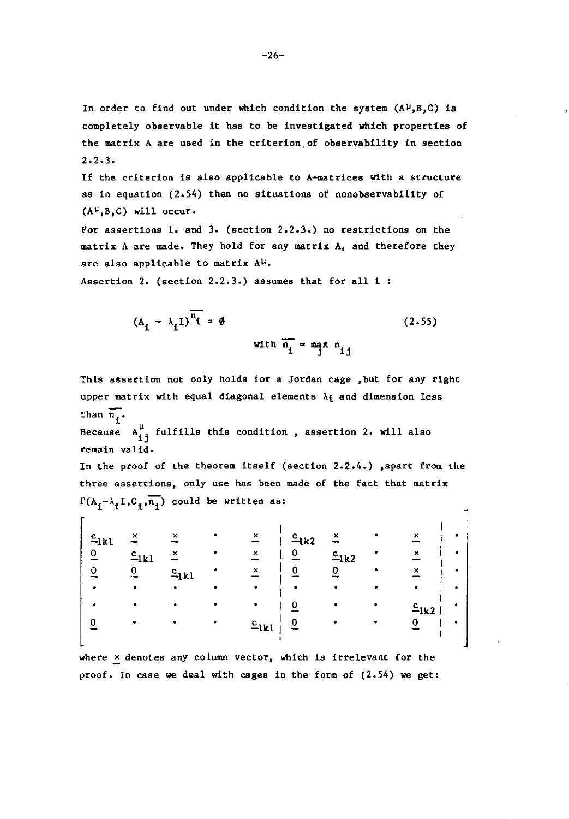In order to find out under which condition the system  $(A^{\mu},B,C)$  is completely observable it has to be investigated which properties of the matrix A are used in the criterion of observability in section  $2.2.3.$ 

If the criterion is also applicable to A-matrices with a structure as in equation (2.54) then no situations of nonobservability of  $(A^{\mu},B,C)$  will occur.

For assertions 1. and 3. (section 2.2.3.) no restrictions on the matrix A are made. They hold for any matrix A, and therefore they are also applicable to matrix  $A^{\mu}$ .

Assertion 2. (section 2.2.3.) assumes that for all i:

$$
(A_{i} - \lambda_{i}I)^{\overline{n_{i}}} = \emptyset
$$
\n
$$
\text{with } \overline{n_{i}} = \max_{i} n_{i}
$$
\n
$$
(2.55)
$$

This assertion not only holds for a Jordan cage ,but for any right upper matrix with equal diagonal elements  $\lambda_1$  and dimension less than  $\overline{n}$ .

Because 
$$
A_{ij}^{\mu}
$$
 fulfills this condition, assertion 2. will also remain valid.

In the proof of the theorem itself (section 2.2.4.) ,apart from the three assertions, only use has been made of the fact that matrix  $\Gamma(A_1-\lambda_1I,C_1,\overline{n_1})$  could be written as:

| $c_{1k1}$ | ×         | ×         | ×         | $c_{1k2}$ | ×         | ×         |  |
|-----------|-----------|-----------|-----------|-----------|-----------|-----------|--|
| 0         | $c_{1k1}$ | ×         | ×         | 0         | $c_{1k2}$ | ×         |  |
|           |           | $c_{1k1}$ |           | 0         |           | ×         |  |
|           | ٠         |           |           |           |           |           |  |
|           |           |           |           | 0         |           | c<br>–1k2 |  |
|           |           |           | $c_{1k1}$ | 0         |           |           |  |
|           |           |           |           |           |           |           |  |

where  $\times$  denotes any column vector, which is irrelevant for the proof. In case we deal with cages in the form of (2.54) we get: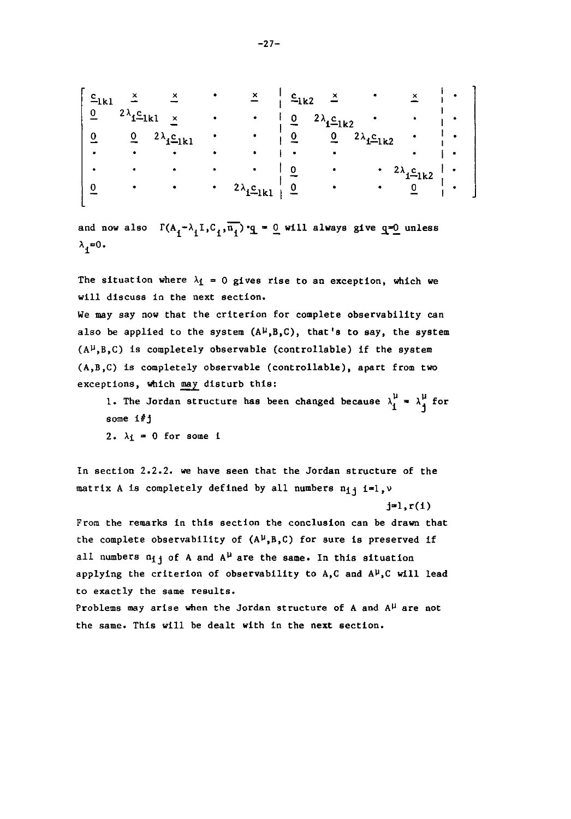| $c_{1k1}$ |                             |                                  | $\times$             | $c_{1k2}$      | ×                   |                      | ×                    |  |
|-----------|-----------------------------|----------------------------------|----------------------|----------------|---------------------|----------------------|----------------------|--|
| 0         | $2\lambda_{\mathbf{i}=1k1}$ | $\times$                         | ٠                    | Ω              | $2\lambda_1C_{1k2}$ |                      |                      |  |
| 0         | 0                           | $2\lambda_1 \underline{c}_{1k1}$ | ٠                    |                | 0                   | $2\lambda_1 c_{1k2}$ |                      |  |
| $\bullet$ | ۰                           |                                  |                      |                |                     |                      |                      |  |
|           |                             |                                  |                      |                |                     | ٠                    | $2\lambda_1 c_{1k2}$ |  |
|           |                             |                                  | $2\lambda_1 c_{1k1}$ | $\overline{0}$ |                     | ٠                    |                      |  |
|           |                             |                                  |                      |                |                     |                      |                      |  |

and now also  $\Gamma(A_1 - \lambda_1 I, C_1, \overline{n_1}) \cdot q = 0$  will always give  $q=0$  unless  $\lambda_i = 0$ .

The situation where  $\lambda_1 = 0$  gives rise to an exception, which we will discuss in the next section.

We may say now that the criterion for complete observability can also be applied to the system  $(A^{\mu},B,C)$ , that's to say, the system  $(A^{\mu},B,C)$  is completely observable (controllable) if the system (A,B,C) is completely observable (controllable), apart from two exceptions, which may disturb this:

1. The Jordan structure has been changed because  $\lambda_1^{\mu}$  =  $\lambda_1^{\mu}$  for some i#j

2.  $\lambda_1 = 0$  for some i

In section 2.2.2. we have seen that the Jordan structure of the matrix A is completely defined by all numbers  $n_{1}$  i=1,  $\nu$ 

 $j=1, r(1)$ 

From the remarks in this section the conclusion can be drawn that the complete observability of  $(A^{\mu},B,C)$  for sure is preserved if all numbers  $n_{i,j}$  of A and A<sup> $\mu$ </sup> are the same. In this situation applying the criterion of observability to A,C and  $A^{\mu}$ ,C will lead **to exactly the same results.** 

Problems may arise when the Jordan structure of A and  $A^{\mu}$  are not the same. This will be dealt with in the next section.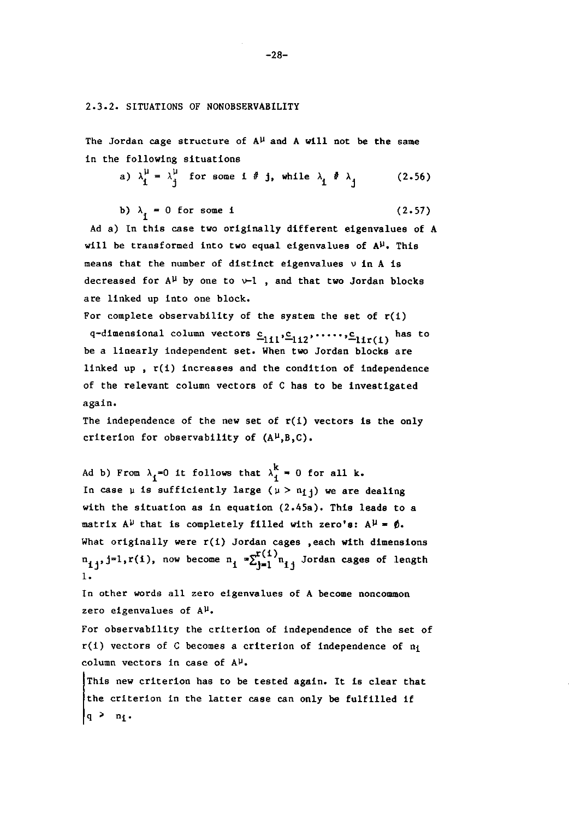#### 2.3.2. SITUATIONS OF NONOBSERVABILITY

The Jordan cage structure of  $A^{\mu}$  and A will not be the same in the following situations

a) 
$$
\lambda_1^{\mu} = \lambda_j^{\mu}
$$
 for some  $i \# j$ , while  $\lambda_i \# \lambda_j$  (2.56)

b) 
$$
\lambda_i = 0
$$
 for some **i** (2.57)

Ad a) In this case two originally different eigenvalues of A will be transformed into two equal eigenvalues of  $A^{\mu}$ . This means that the number of distinct eigenvalues  $\nu$  in A is decreased for  $A^{\mu}$  by one to  $\nu-1$ , and that two Jordan blocks are linked up into one block.

For complete observability of the system the set of  $r(1)$ q-dimensional column vectors  $c_{111}$ ,  $c_{112}$ , ....,  $c_{11r(1)}$  has to be a linearly independent set. When two Jordan blocks are linked up,  $r(i)$  increases and the condition of independence of the relevant column vectors of C has to be investigated again.

The independence of the new set of  $r(i)$  vectors is the only criterion for observability of  $(A^{\mu},B,C)$ .

Ad b) From  $\lambda_1=0$  it follows that  $\lambda_1^k=0$  for all k. In case  $\mu$  is sufficiently large ( $\mu > n_{11}$ ) we are dealing with the situation as in equation (2.45a). This leads to a matrix  $A^{\mu}$  that is completely filled with zero's:  $A^{\mu} = \phi$ . What originally were  $r(1)$  Jordan cages , each with dimensions  $n_{1j}$ , j=l,r(i), now become  $n_i$   $\sum_{j=1}^{r(1)} n_{1j}$  Jordan cages of length 1. In other words all zero eigenvalues of A become noncommon zero eigenvalues of  $A^{\mu}$ . For observability the criterion of independence of the set of

 $r(i)$  vectors of C becomes a criterion of independence of  $n_i$ **column vectors in case of** A~.

This new criterion has to be tested again. It is clear that the criterion in the latter case can only be fulfilled if  $q > n_1$ .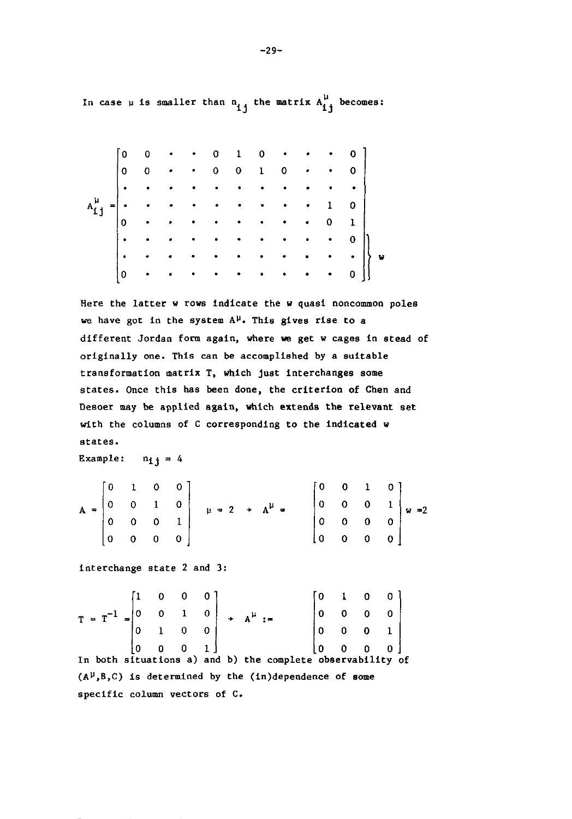In case  $\mu$  is smaller than  $\mathbf{a_{ij}}$  the matrix  $\mathbf{A_{ij}^{\mu}}$  becomes:

| 0  |   |              |   |           |   |                      |           | $\bullet$ $\bullet$ 0 |                                                                                     |
|----|---|--------------|---|-----------|---|----------------------|-----------|-----------------------|-------------------------------------------------------------------------------------|
| 0  | 0 |              |   |           |   |                      | $\bullet$ |                       | $\mathbf{o}$                                                                        |
| ┆. |   |              |   |           |   |                      | ٠         |                       | $\bullet$                                                                           |
|    |   |              |   |           |   |                      | $\bullet$ | $\mathbf{1}$          | $\begin{array}{c} \begin{array}{c} \texttt{J} \ \texttt{I} \end{array} \end{array}$ |
| 0  |   |              |   |           |   |                      | $\bullet$ | 0                     |                                                                                     |
|    |   |              |   |           |   | $\ddot{\phantom{0}}$ | $\bullet$ | $\bullet$             |                                                                                     |
|    |   |              | ۰ | $\bullet$ | ٠ | $\bullet$            |           | $\bullet$             | V<br>$\bullet$                                                                      |
| 0  |   | $\mathbf{r}$ |   |           |   | $\sim 100$           | $\bullet$ | $\bullet$             |                                                                                     |

Here the latter w rows indicate the w quasi noncommon poles we have got in the system  $A^{\mu}$ . This gives rise to a different Jordan form again, where we get w cages in stead of originally one. This can be accomplished by a suitable transformation matrix T, which just interchanges some states. Once this has been done, the criterion of Chen and DeBoer may be applied again, which extends the relevant set with the columns of C corresponding to the indicated w **states.** 

Example:  $n_{11} = 4$ 

|                                                                    | $\begin{bmatrix} 0 & 1 & 0 & 0 \end{bmatrix}$ |  |                         |                                 | $\pm 0$ | $\mathbf{0}$ |             | $1 \quad 0$ |                                                                     |
|--------------------------------------------------------------------|-----------------------------------------------|--|-------------------------|---------------------------------|---------|--------------|-------------|-------------|---------------------------------------------------------------------|
| $A = \begin{bmatrix} 0 & 0 & 1 & 0 \\ 0 & 0 & 0 & 1 \end{bmatrix}$ |                                               |  |                         | $\mu = 2 \rightarrow A^{\mu} =$ |         |              |             |             |                                                                     |
|                                                                    |                                               |  |                         |                                 |         |              |             |             | $\begin{bmatrix} 0 & 0 & 0 & 1 \\ 0 & 0 & 0 & 0 \end{bmatrix}$ w =2 |
|                                                                    | ∣0                                            |  | $\overline{\mathsf{0}}$ |                                 | ί0.     | $\mathbf{0}$ | $\mathbf 0$ | $\vert$ 0   |                                                                     |

interchange state 2 and 3:

$$
T = T^{-1} = \begin{bmatrix} 1 & 0 & 0 & 0 \\ 0 & 0 & 1 & 0 \\ 0 & 1 & 0 & 0 \\ 0 & 0 & 0 & 1 \end{bmatrix} + A^{\mu} := \begin{bmatrix} 0 & 1 & 0 & 0 \\ 0 & 0 & 0 & 0 \\ 0 & 0 & 0 & 1 \\ 0 & 0 & 0 & 0 \end{bmatrix}
$$

In both situations a) and b) the complete observability of  $(A^{\mu},B,C)$  is determined by the (in)dependence of some specific column vectors of C.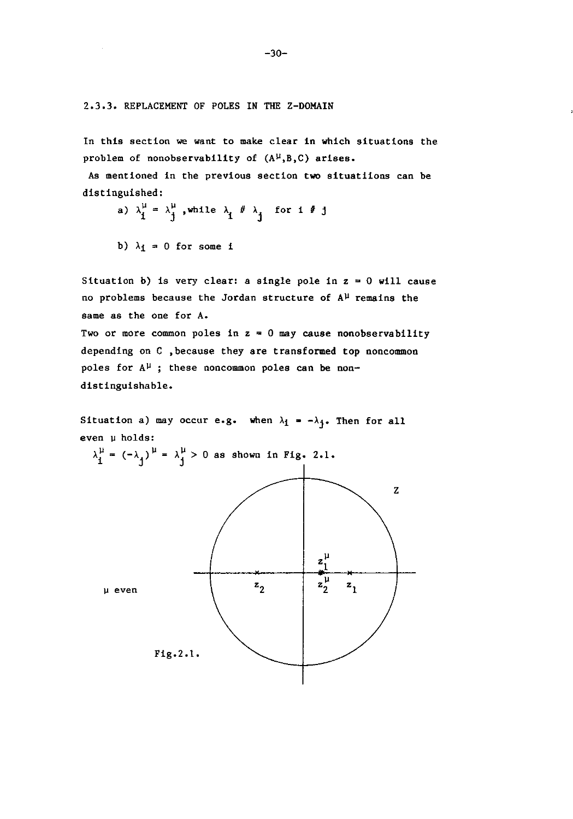2.3.3. REPLACEMENT OF POLES IN THE Z-DOMAIN

In this section we want to make clear in which situations the problem of nonobservability of  $(A^{\mu},B,C)$  arises.

As mentioned in the previous section two situatiions can be distinguished:

- a)  $\lambda_1^{\mu} = \lambda_j^{\mu}$ , while  $\lambda_i \neq \lambda_j$  for i  $i \neq j$
- b)  $\lambda_1 = 0$  for some i

Situation b) is very clear: a single pole in  $z = 0$  will cause no problems because the Jordan structure of  $A^{\mu}$  remains the **same as the one for A.** 

Two or more common poles in  $z = 0$  may cause nonobservability depending on C ,because they are transformed top noncommon poles for  $A^{\mu}$ ; these noncommon poles can be nondistinguishable.

Situation a) may occur e.g. when  $\lambda_1 = -\lambda_1$ . Then for all  $even  $\mu$  holds:$ 



 $-30-$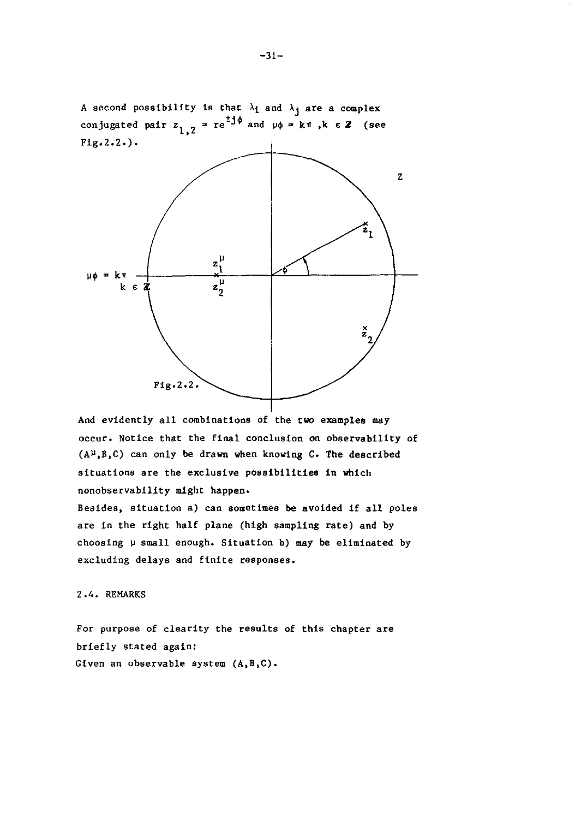

And evidently all combinations of the two examples may occur. Notice that the final conclusion on observability of  $(A^{\mu},B,C)$  can only be drawn when knowing C. The described situations are the exclusive possibilities in which nonobservability might happen.

Besides, situation a) can sometimes be avoided if all poles are in the right half plane (high sampling rate) and by choosing  $\mu$  small enough. Situation b) may be eliminated by excluding delays and finite responses.

#### 2.4. REMARKS

For purpose of clearity the results of this chapter are briefly stated again: Given an observable system (A,B,C).

 $-31-$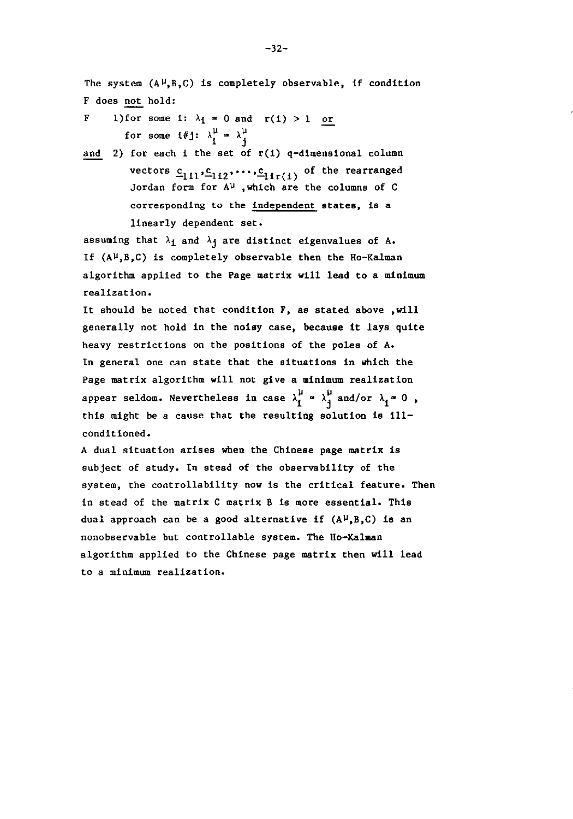The system  $(A^{\mu},B,C)$  is completely observable, if condition F does not hold:

- F l)for some i:  $\lambda_i = 0$  and  $r(1) > 1$  or for some i#j:  $\lambda_i^{\mu} = \lambda_i^{\mu}$
- and 2) for each i the set of  $r(i)$  q-dimensional column vectors  $c_{111}, c_{112}, \ldots, c_{11r(1)}$  of the rearranged Jordan form for  $A^{\mu}$  , which are the columns of C **corresponding to the independent states, i8 a**  linearly dependent set.

assuming that  $\lambda_1$  and  $\lambda_1$  are distinct eigenvalues of A. If  $(A^{\mu},B,C)$  is completely observable then the Ho-Kalman algorithm applied to the Page matrix will lead to a minimum realization.

It should be noted that condition F, as stated above , will generally not hold in the noisy case, because it lays quite heavy restrictions on the positions of the poles of A. In general one can state that the situations in which the Page matrix algorithm will not give a minimum realization appear seldom. Nevertheless in case  $\lambda_1^{\mu} \approx \lambda_3^{\mu}$  and/or  $\lambda_1 \approx 0$ , this might be a cause that the resulting solution is i11 conditioned.

A dual situation arises when the Chinese page matrix is subject of study. In stead of the observabi1ity of the system, the controllability now is the critical feature. Then in stead of the matrix C matrix B is more essential. This dual approach can be a good alternative if  $(A^{\mu},B,C)$  is an nonobservable but controllable system. The Ho-Kalman algorithm applied to the Chinese page matrix then will lead to a minimum realization.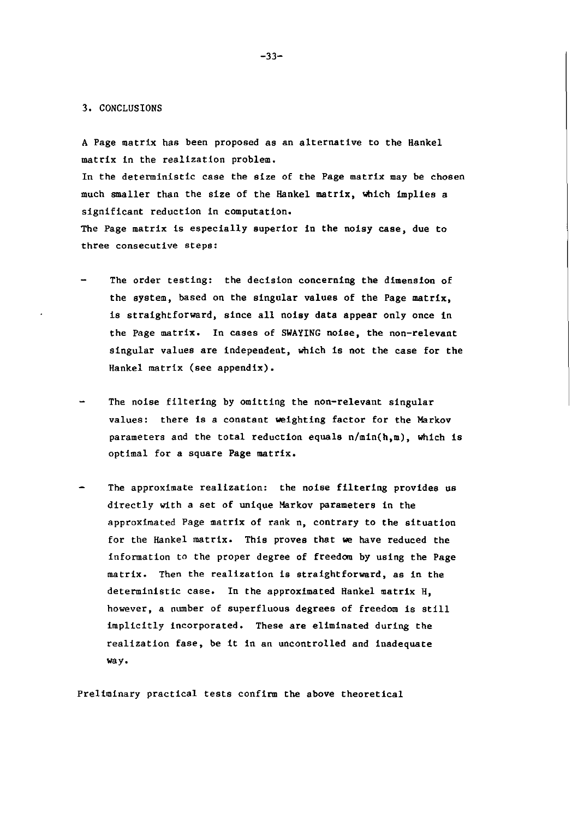#### 3. CONCLUS IONS

A Page matrix has been proposed as an alternative to the Hankel matrix in the realization problem.

In the deterministic case the size of the Page matrix may be chosen much smaller than the size of the Hankel matrix, which implies a significant reduction in computation. The Page matrix is especially superior in the noisy case, due to **three consecutive steps:** 

- The order testing: the decision concerning the dimension of the system, based on the singular values of the Page matrix, is straightforward, since all noisy data appear only once in the Page matrix. In cases of SWAYING noise, the non-relevant singular values are independent, which is not the case for the Hankel matrix (see appendix).
- The noise filtering by omitting the non-relevant singular values: there is a constant weighting factor for the Markov parameters and the total reduction equals  $n/\min(h,m)$ , which is optimal for a square Page matrix.
- The approximate realization: the noise filtering provides us directly with a set of unique Markov parameters in the approximated Page matrix of rank n, contrary to the situation for the Hankel matrix. This proves that we have reduced the information to the proper degree of freedom by using the Page matrix. Then the realization is straightforward, as in the deterministic case. In the approximated Hankel matrix H, however, a number of superfluous degrees of freedom is still implicitly incorporated. These are eliminated during the realization fase, be it in an uncontrolled and inadequate **way.**

Preliminary practical tests confirm the above theoretical

-33-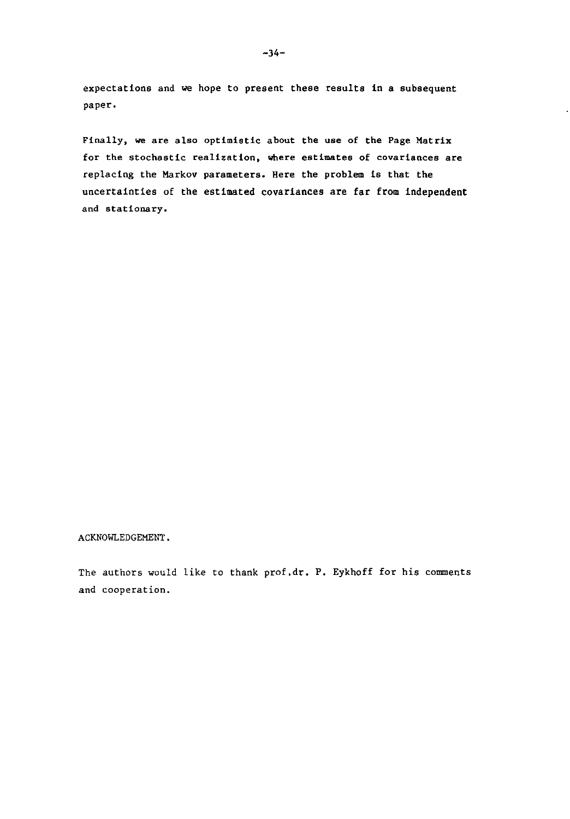expectations and we hope to present these results in a subsequent paper.

Finally, we are also optimistic about the use of the Page Matrix **for the stochastic realization, where estimates of covariances are**  replacing the Markov parameters. Here the problem is that the uncertainties of the estimated covariances are far from independent **and stationary.** 

#### ACKNOWLEDGEMENT.

The authors would like to thank prof.dr. P. Eykhoff for his comments **and cooperation.**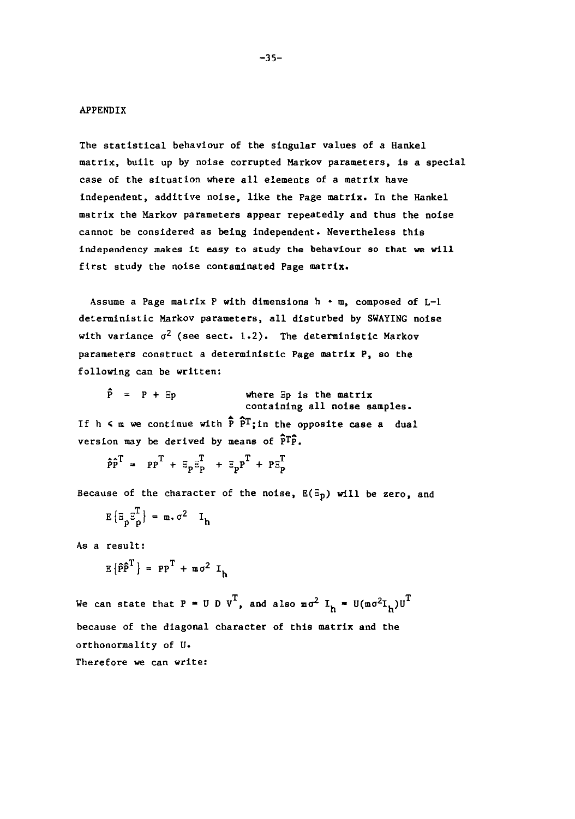#### APPENDIX

The statistical behaviour of the singular values of a Hankel matrix, built up by noise corrupted Markov parameters, is a special case of the situation where all elements of a matrix have independent, additive noise, like the Page matrix. In the Hankel matrix the Markov parameters appear repeatedly and thus the noise cannot be considered as being independent. Nevertheless this **independency makes it easy to study the behaviour so that we will**  first study the noise contaminated Page matrix.

Assume a Page matrix P with dimensions h • m, composed of L-1 deterministic Markov parameters, all disturbed by SWAYING noise with variance  $\sigma^2$  (see sect. 1.2). The deterministic Markov **parameters construct a deterministic Page matrix P, so the**  following can be written:

|  | $\hat{P} = P + Ep$ | where $\Xi p$ is the matrix   |
|--|--------------------|-------------------------------|
|  |                    | containing all noise samples. |

If h  $\leq$  m we continue with  $\widehat{P}$   $\widehat{P}^{T}$ ; in the opposite case a dual version may be derived by means of  $\widehat{P}^T\widehat{P}$ .

 $\hat{p}\hat{p}^{T} = pp^{T} + \bar{z}_{p}\bar{z}_{p}^{T} + \bar{z}_{p}p^{T} + p\bar{z}_{p}^{T}$ 

Because of the character of the noise,  $E(E_p)$  will be zero, and

$$
E\left\{ \Xi_{p}\Xi_{p}^{T}\right\} = m \cdot \sigma^{2} I_{h}
$$

As a result:

$$
E\left\{\hat{P}\hat{P}^{T}\right\} = PP^{T} + m\sigma^{2} I_{h}
$$

We can state that P = U D V<sup>T</sup>, and also  $m\sigma^2$  I<sub>h</sub> = U(m $\sigma^2$ I<sub>h</sub>)U<sup>T</sup> because of the diagonal character of this matrix and the orthonormality of U. Therefore we can write: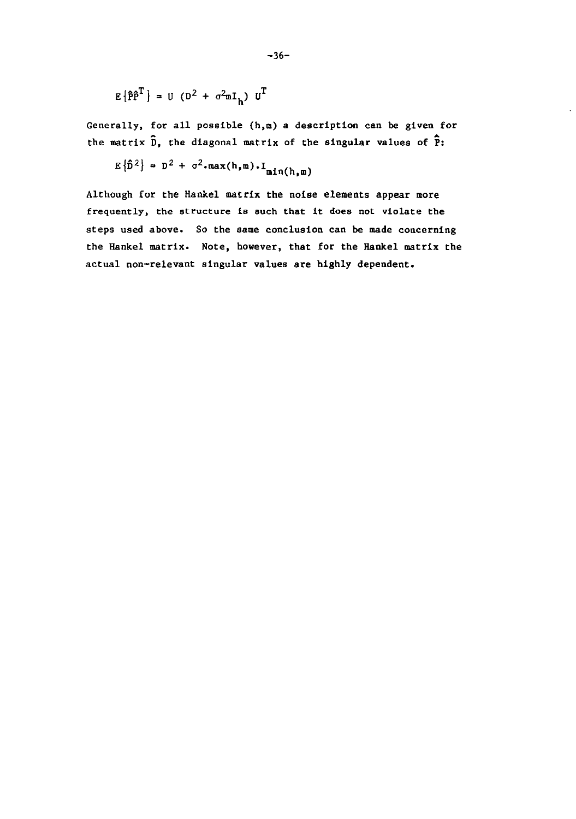$$
E\left\{\hat{P}\hat{P}^{T}\right\} = U\left(D^{2} + \sigma^{2}mI_{h}\right)U^{T}
$$

Generally, for all possible (h,m) a description can be given for the matrix  $\hat{D}$ , the diagonal matrix of the singular values of  $\hat{P}$ :

$$
E\left\{\hat{D}^2\right\} = D^2 + \sigma^2 \cdot \max(h, m) \cdot I_{\min(h, m)}
$$

Although for the Hankel matrix the noise elements appear more **frequently, the structure is such that it does not violate the**  steps used above. So the same conclusion can be made concerning the Hankel matrix. Note, however, that for the Hankel matrix the actual non-relevant singular values are highly dependent.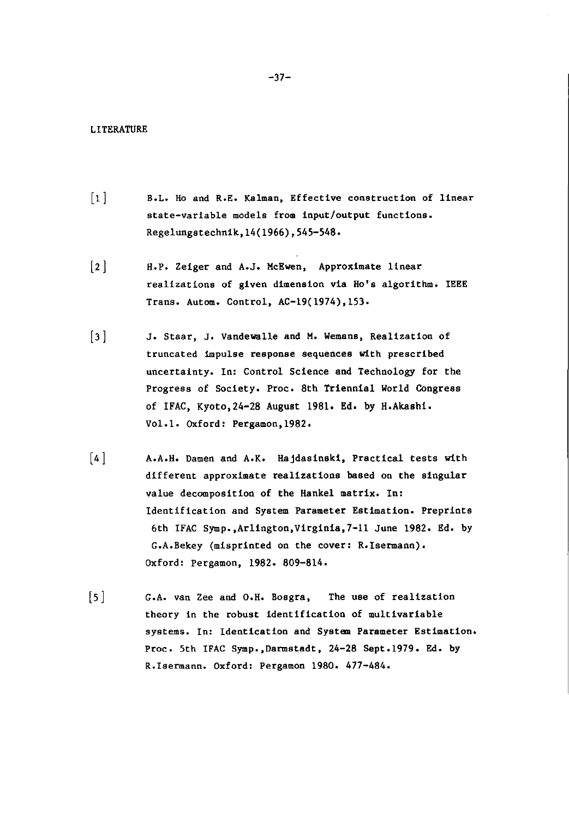#### LITERATURE

- [1] B.L. Ho and R.E. Kalman, Effective construction of linear state-variable models from input/output functions. Regelungstechnik,14(1966) ,545-548.
- (2] H.P. Zeiger and A.J. McEwen, Approximate linear realizations of given dimension via Ho's algorithm. IEEE Trans. Autom. Control, AC-19(1974),153.
- (3] J. Staar, J. Vandewalle and M. Wemans, Realization of truncated impulse response sequences with prescribed uncertainty. In: Control Science and Technology for the Progress of Society. Proc. 8th Triennial World Congress of IFAC, Kyoto,24-28 August 1981. Ed. by H.Akashi. Vol.l. Oxford: Pergamon,1982.
- (4] A.A.H. Damen and A.K. Hajdasinski, Practical tests with different approximate realizations based on the singular value decomposition of the Hankel matrix. In: Identification and System Parameter Estimation. Preprints 6th IFAC Symp.,Arlington,Virginia,7-11 June 1982. Ed. by G.A.Rekey (misprinted on the cover: R.lsermann). Oxford: Pergamon, 1982. 809-814.
- $\lceil 5 \rceil$ G.A. van Zee and O.H. Rosgra, The use of realization theory in the robust identification of mu1tivariable systems. In: Identication and System Parameter Estimation. Proc. 5th IFAC Symp.,Darmstadt, 24-28 Sept.1979. Ed. by R.lsermann. Oxford: Pergamon 1980. 477-484.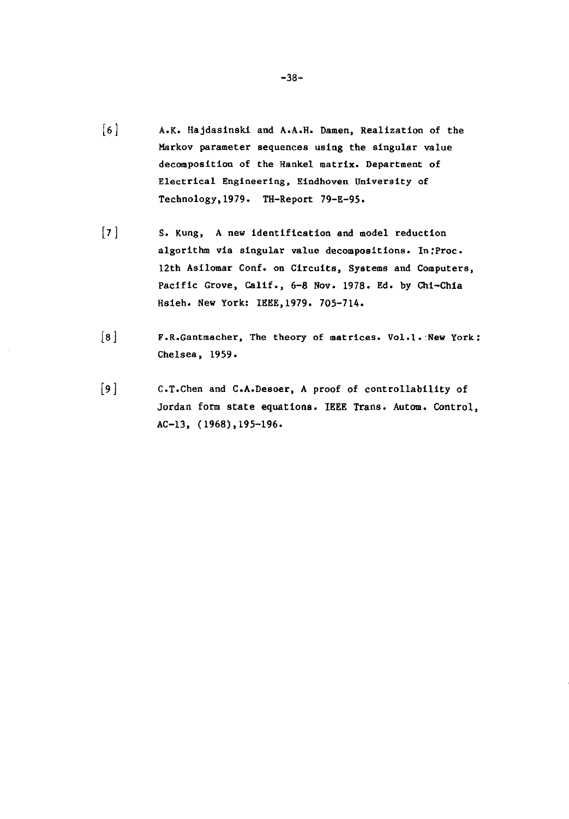- [6] A.K. Hajdasinski and A.A.H. Damen, Realization of the Markov parameter sequences using the singular value decomposition of the Hankel matrix. Department of **Electrical Engineering, Eindhoven University of**  Technology, 1979. TH-Report 79-E-95.
- [7] S. Kung, A new identification and model reduction algorithm via singular value decompositions. In:Proc. 12th Asilomar Conf. on Circuits, Systems and Computers, Pacific Grove, Calif., 6-8 Nov. 1978. Ed. by Chi-Chia Hsieh. New York: IEEE,1979. 705-714.
- **[8] F.R.Gantmacher, The theory of matrices. Vol.l.:New York:**  Chelsea, 1959.
- [9] C.T.Chen and C.A.Desoer, A proof of controllability of Jordan form state equations. IEEE Trans. Autom. Control, AC-13, (1968),195-196.